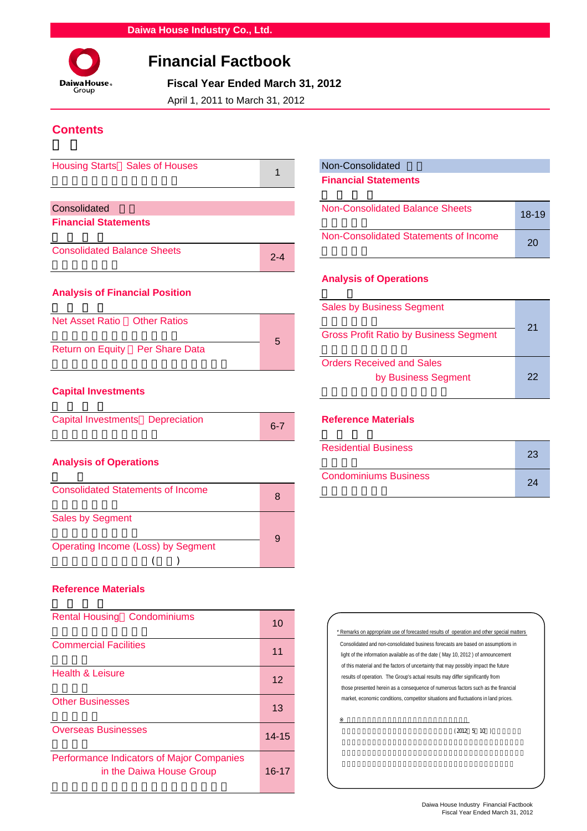

# **Financial Factbook**

 **Fiscal Year Ended March 31, 2012**

April 1, 2011 to March 31, 2012

## **Contents**

| Housing Starts Sales of Houses                   |         | Non-Consolidated                              |
|--------------------------------------------------|---------|-----------------------------------------------|
|                                                  |         | <b>Financial Statements</b>                   |
|                                                  |         |                                               |
| Consolidated                                     |         | Non-Consolidated Balance Sheets               |
| <b>Financial Statements</b>                      |         |                                               |
|                                                  |         | Non-Consolidated Statements of Income         |
| <b>Consolidated Balance Sheets</b>               | $2 - 4$ |                                               |
|                                                  |         | <b>Analysis of Operations</b>                 |
| <b>Analysis of Financial Position</b>            |         |                                               |
|                                                  |         | <b>Sales by Business Segment</b>              |
| Net Asset Ratio<br><b>Other Ratios</b>           |         |                                               |
|                                                  |         | <b>Gross Profit Ratio by Business Segment</b> |
| <b>Per Share Data</b><br><b>Return on Equity</b> | 5       |                                               |

## **Capital Investments**

| Capital Investments Depreciation |  | $6 - 7$ | <b>Reference N</b> |
|----------------------------------|--|---------|--------------------|
|----------------------------------|--|---------|--------------------|

## **Analysis of Operations**

| <b>Consolidated Statements of Income</b>  | 8 |
|-------------------------------------------|---|
| <b>Sales by Segment</b>                   |   |
| <b>Operating Income (Loss) by Segment</b> | 9 |

## **Reference Materials**

| <b>Rental Housing Condominiums</b>                                           | 10        |
|------------------------------------------------------------------------------|-----------|
| <b>Commercial Facilities</b>                                                 | 11        |
| <b>Health &amp; Leisure</b>                                                  | 12        |
| <b>Other Businesses</b>                                                      | 13        |
| <b>Overseas Businesses</b>                                                   | $14 - 15$ |
| <b>Performance Indicators of Major Companies</b><br>in the Daiwa House Group | 16-17     |

## Non-Consolidated **Financial Statements**

| <b>Non-Consolidated Balance Sheets</b> | $18-19$ |
|----------------------------------------|---------|
| Non-Consolidated Statements of Income  | 20      |

## **Analysis of Operations**

|                                 |   | <b>Sales by Business Segment</b>                        |    |
|---------------------------------|---|---------------------------------------------------------|----|
| Net Asset Ratio  Other Ratios   |   | <b>Gross Profit Ratio by Business Segment</b>           | 21 |
| Return on Equity Per Share Data | 5 |                                                         |    |
|                                 |   | <b>Orders Received and Sales</b><br>by Business Segment | 22 |
| Canital Investments             |   |                                                         |    |

### **Reference Materials**

| <b>Analysis of Operations</b>            |        | <b>Residential Business</b>  | 23 |    |
|------------------------------------------|--------|------------------------------|----|----|
|                                          |        | <b>Condominiums Business</b> |    | 24 |
| <b>Consolidated Statements of Income</b> | $\sim$ |                              |    |    |



※ 業績予想の適切な利用に関する説明、その他特記事項

 $(2012 \t5 \t10)$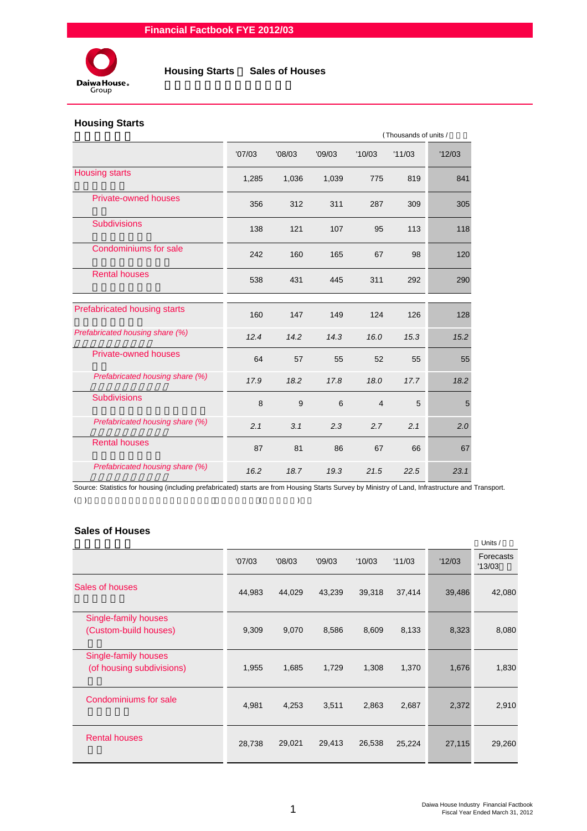

## **Housing Starts**

|                                 |        |        |        |                | (Thousands of units / |       |
|---------------------------------|--------|--------|--------|----------------|-----------------------|-------|
|                                 | '07/03 | '08/03 | '09/03 | '10/03         | '11/03                | 12/03 |
| <b>Housing starts</b>           | 1,285  | 1,036  | 1,039  | 775            | 819                   | 841   |
| <b>Private-owned houses</b>     | 356    | 312    | 311    | 287            | 309                   | 305   |
| <b>Subdivisions</b>             | 138    | 121    | 107    | 95             | 113                   | 118   |
| Condominiums for sale           | 242    | 160    | 165    | 67             | 98                    | 120   |
| <b>Rental houses</b>            | 538    | 431    | 445    | 311            | 292                   | 290   |
| Prefabricated housing starts    | 160    | 147    | 149    | 124            | 126                   | 128   |
| Prefabricated housing share (%) | 12.4   | 14.2   | 14.3   | 16.0           | 15.3                  | 15.2  |
| <b>Private-owned houses</b>     | 64     | 57     | 55     | 52             | 55                    | 55    |
| Prefabricated housing share (%) | 17.9   | 18.2   | 17.8   | 18.0           | 17.7                  | 18.2  |
| <b>Subdivisions</b>             | 8      | 9      | 6      | $\overline{4}$ | 5                     | 5     |
| Prefabricated housing share (%) | 2.1    | 3.1    | 2.3    | 2.7            | 2.1                   | 2.0   |
| <b>Rental houses</b>            | 87     | 81     | 86     | 67             | 66                    | 67    |
| Prefabricated housing share (%) | 16.2   | 18.7   | 19.3   | 21.5           | 22.5                  | 23.1  |

Source: Statistics for housing (including prefabricated) starts are from Housing Starts Survey by Ministry of Land, Infrastructure and Transport.  $(1)$ 

## **Sales of Houses**

|                           |        |        |        |        |        |        | Units /             |
|---------------------------|--------|--------|--------|--------|--------|--------|---------------------|
|                           | '07/03 | '08/03 | '09/03 | '10/03 | '11/03 | '12/03 | Forecasts<br>'13/03 |
| Sales of houses           | 44,983 | 44,029 | 43,239 | 39,318 | 37,414 | 39,486 | 42,080              |
| Single-family houses      |        |        |        |        |        |        |                     |
| (Custom-build houses)     | 9,309  | 9,070  | 8,586  | 8,609  | 8,133  | 8,323  | 8,080               |
| Single-family houses      |        |        |        |        |        |        |                     |
| (of housing subdivisions) | 1,955  | 1,685  | 1,729  | 1,308  | 1,370  | 1,676  | 1,830               |
| Condominiums for sale     | 4,981  | 4,253  | 3,511  | 2,863  | 2,687  | 2,372  | 2,910               |
|                           |        |        |        |        |        |        |                     |
| <b>Rental houses</b>      | 28,738 | 29,021 | 29,413 | 26,538 | 25,224 | 27,115 | 29,260              |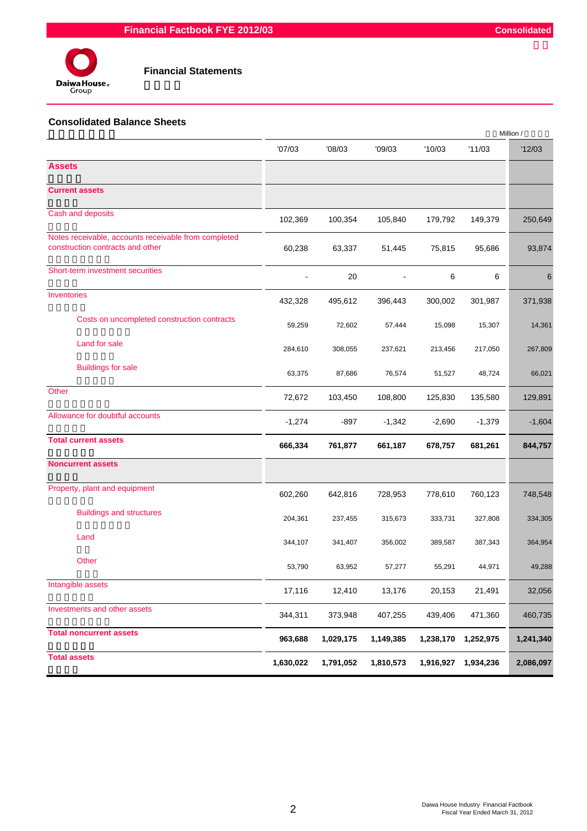



## **Financial Statements**

#### **Consolidated Balance Sheets**

|                                                                                          |           |           |           |           |           | Million / |
|------------------------------------------------------------------------------------------|-----------|-----------|-----------|-----------|-----------|-----------|
|                                                                                          | '07/03    | '08/03    | '09/03    | '10/03    | '11/03    | '12/03    |
| <b>Assets</b>                                                                            |           |           |           |           |           |           |
| <b>Current assets</b>                                                                    |           |           |           |           |           |           |
| Cash and deposits                                                                        | 102,369   | 100,354   | 105,840   | 179,792   | 149,379   | 250,649   |
| Notes receivable, accounts receivable from completed<br>construction contracts and other | 60,238    | 63,337    | 51,445    | 75,815    | 95,686    | 93,874    |
| Short-term investment securities                                                         |           | 20        |           | 6         | 6         | 6         |
| Inventories                                                                              | 432,328   | 495,612   | 396,443   | 300,002   | 301,987   | 371,938   |
| Costs on uncompleted construction contracts                                              | 59,259    | 72,602    | 57,444    | 15,098    | 15,307    | 14,361    |
| Land for sale                                                                            | 284,610   | 308,055   | 237,621   | 213,456   | 217,050   | 267,809   |
| <b>Buildings for sale</b>                                                                | 63,375    | 87,686    | 76,574    | 51,527    | 48,724    | 66,021    |
| Other                                                                                    | 72,672    | 103,450   | 108,800   | 125,830   | 135,580   | 129,891   |
| Allowance for doubtful accounts                                                          | $-1,274$  | $-897$    | $-1,342$  | $-2,690$  | $-1,379$  | $-1,604$  |
| <b>Total current assets</b>                                                              | 666,334   | 761,877   | 661,187   | 678,757   | 681,261   | 844,757   |
| <b>Noncurrent assets</b>                                                                 |           |           |           |           |           |           |
| Property, plant and equipment                                                            | 602,260   | 642,816   | 728,953   | 778,610   | 760,123   | 748,548   |
| <b>Buildings and structures</b>                                                          | 204,361   | 237,455   | 315,673   | 333,731   | 327,808   | 334,305   |
| Land                                                                                     | 344,107   | 341,407   | 356,002   | 389,587   | 387,343   | 364,954   |
| Other                                                                                    | 53,790    | 63,952    | 57,277    | 55,291    | 44,971    | 49,288    |
| Intangible assets                                                                        | 17,116    | 12,410    | 13,176    | 20,153    | 21,491    | 32,056    |
| Investments and other assets                                                             | 344,311   | 373,948   | 407,255   | 439,406   | 471,360   | 460,735   |
| <b>Total noncurrent assets</b>                                                           | 963,688   | 1,029,175 | 1,149,385 | 1,238,170 | 1,252,975 | 1,241,340 |
| <b>Total assets</b>                                                                      | 1,630,022 | 1,791,052 | 1,810,573 | 1,916,927 | 1,934,236 | 2,086,097 |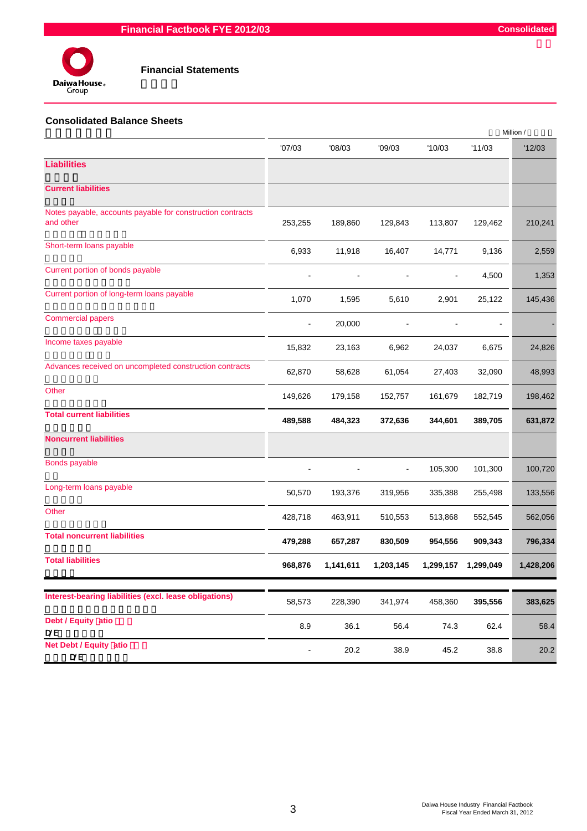

#### **Financial Statements**

#### **Consolidated Balance Sheets**

|                                                                         |                |           |           |                |                          | Million / |
|-------------------------------------------------------------------------|----------------|-----------|-----------|----------------|--------------------------|-----------|
|                                                                         | '07/03         | '08/03    | '09/03    | '10/03         | '11/03                   | '12/03    |
| <b>Liabilities</b>                                                      |                |           |           |                |                          |           |
| <b>Current liabilities</b>                                              |                |           |           |                |                          |           |
| Notes payable, accounts payable for construction contracts<br>and other | 253,255        | 189,860   | 129,843   | 113,807        | 129,462                  | 210,241   |
| Short-term loans payable                                                | 6,933          | 11,918    | 16,407    | 14,771         | 9,136                    | 2,559     |
| Current portion of bonds payable                                        |                |           |           | $\blacksquare$ | 4,500                    | 1,353     |
| Current portion of long-term loans payable                              | 1,070          | 1,595     | 5,610     | 2,901          | 25,122                   | 145,436   |
| <b>Commercial papers</b>                                                | $\blacksquare$ | 20,000    |           |                | $\overline{\phantom{a}}$ |           |
| Income taxes payable                                                    | 15,832         | 23,163    | 6,962     | 24,037         | 6,675                    | 24,826    |
| Advances received on uncompleted construction contracts                 | 62,870         | 58,628    | 61,054    | 27,403         | 32,090                   | 48,993    |
| Other                                                                   | 149,626        | 179,158   | 152,757   | 161,679        | 182,719                  | 198,462   |
| <b>Total current liabilities</b>                                        | 489,588        | 484,323   | 372,636   | 344,601        | 389,705                  | 631,872   |
| <b>Noncurrent liabilities</b>                                           |                |           |           |                |                          |           |
| Bonds payable                                                           |                |           |           | 105,300        | 101,300                  | 100,720   |
| Long-term loans payable                                                 | 50,570         | 193,376   | 319,956   | 335,388        | 255,498                  | 133,556   |
| Other                                                                   | 428,718        | 463,911   | 510,553   | 513,868        | 552,545                  | 562,056   |
| <b>Total noncurrent liabilities</b>                                     | 479,288        | 657,287   | 830,509   | 954,556        | 909,343                  | 796,334   |
| <b>Total liabilities</b>                                                | 968,876        | 1,141,611 | 1,203,145 | 1,299,157      | 1,299,049                | 1,428,206 |
|                                                                         |                |           |           |                |                          |           |
| Interest-bearing liabilities (excl. lease obligations)                  | 58,573         | 228,390   | 341,974   | 458,360        | 395,556                  | 383,625   |
| Debt / Equity atio<br><b>D/E</b>                                        | 8.9            | 36.1      | 56.4      | 74.3           | 62.4                     | 58.4      |
| Net Debt / Equity atio<br>$D/E$                                         |                | 20.2      | 38.9      | 45.2           | 38.8                     | 20.2      |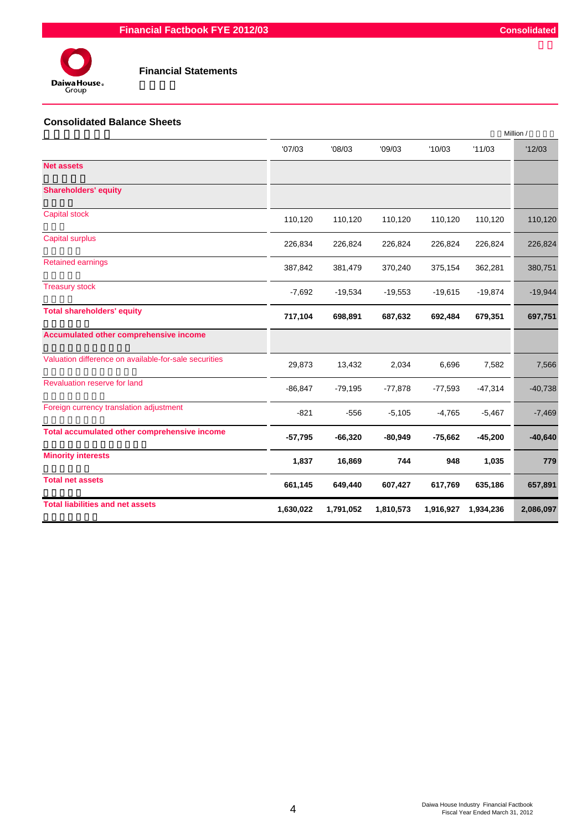

#### **Consolidated Balance Sheets**

|                                                       |            |           |           |           |           | Million / |
|-------------------------------------------------------|------------|-----------|-----------|-----------|-----------|-----------|
|                                                       | '07/03     | '08/03    | '09/03    | '10/03    | '11/03    | '12/03    |
| <b>Net assets</b>                                     |            |           |           |           |           |           |
| <b>Shareholders' equity</b>                           |            |           |           |           |           |           |
| <b>Capital stock</b>                                  | 110,120    | 110,120   | 110,120   | 110,120   | 110,120   | 110,120   |
| Capital surplus                                       | 226,834    | 226,824   | 226,824   | 226,824   | 226,824   | 226,824   |
| <b>Retained earnings</b>                              | 387,842    | 381,479   | 370,240   | 375,154   | 362,281   | 380,751   |
| <b>Treasury stock</b>                                 | $-7,692$   | $-19,534$ | $-19,553$ | $-19,615$ | $-19,874$ | $-19,944$ |
| <b>Total shareholders' equity</b>                     | 717,104    | 698,891   | 687,632   | 692,484   | 679,351   | 697,751   |
| Accumulated other comprehensive income                |            |           |           |           |           |           |
| Valuation difference on available-for-sale securities | 29,873     | 13,432    | 2,034     | 6,696     | 7,582     | 7,566     |
| Revaluation reserve for land                          | $-86, 847$ | $-79,195$ | $-77,878$ | $-77,593$ | $-47,314$ | $-40,738$ |
| Foreign currency translation adjustment               | $-821$     | $-556$    | $-5,105$  | $-4,765$  | $-5,467$  | $-7,469$  |
| Total accumulated other comprehensive income          | $-57,795$  | $-66,320$ | $-80,949$ | $-75,662$ | $-45,200$ | $-40,640$ |
| <b>Minority interests</b>                             | 1,837      | 16,869    | 744       | 948       | 1,035     | 779       |
| <b>Total net assets</b>                               | 661,145    | 649,440   | 607,427   | 617,769   | 635,186   | 657,891   |
| <b>Total liabilities and net assets</b>               | 1,630,022  | 1,791,052 | 1,810,573 | 1,916,927 | 1,934,236 | 2,086,097 |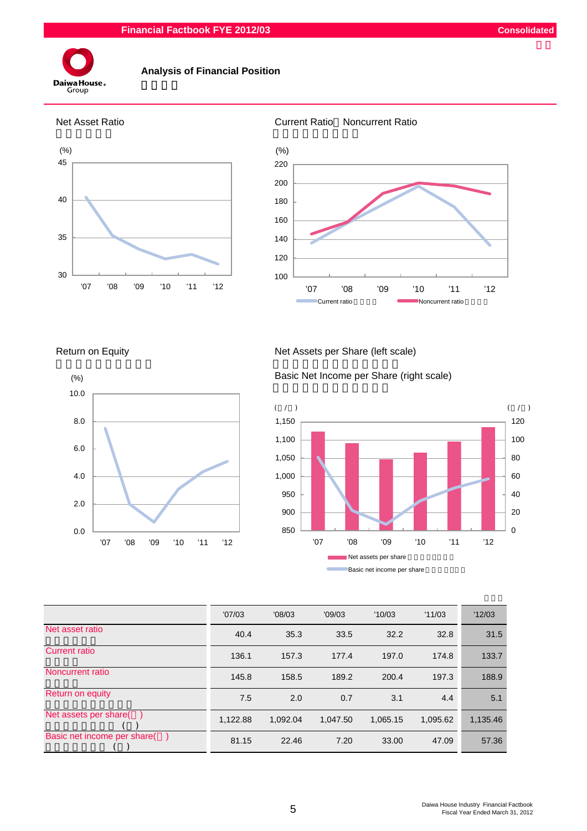#### **Financial Factbook FYE 2012/03 Consolidated**



#### **Analysis of Financial Position**



#### Net Asset Ratio Current Ratio Noncurrent Ratio



Return on Equity Net Assets per Share (left scale)



Basic Net Income per Share (right scale)



|                             | '07/03   | '08/03   | '09/03   | '10/03   | '11/03   | '12/03   |
|-----------------------------|----------|----------|----------|----------|----------|----------|
| Net asset ratio             | 40.4     | 35.3     | 33.5     | 32.2     | 32.8     | 31.5     |
| <b>Current ratio</b>        | 136.1    | 157.3    | 177.4    | 197.0    | 174.8    | 133.7    |
| Noncurrent ratio            | 145.8    | 158.5    | 189.2    | 200.4    | 197.3    | 188.9    |
| Return on equity            | 7.5      | 2.0      | 0.7      | 3.1      | 4.4      | 5.1      |
| Net assets per share(       | 1,122.88 | 1.092.04 | 1.047.50 | 1,065.15 | 1,095.62 | 1,135.46 |
| Basic net income per share( | 81.15    | 22.46    | 7.20     | 33.00    | 47.09    | 57.36    |

5 Daiwa House Industry Financial Factbook Fiscal Year Ended March 31, 2012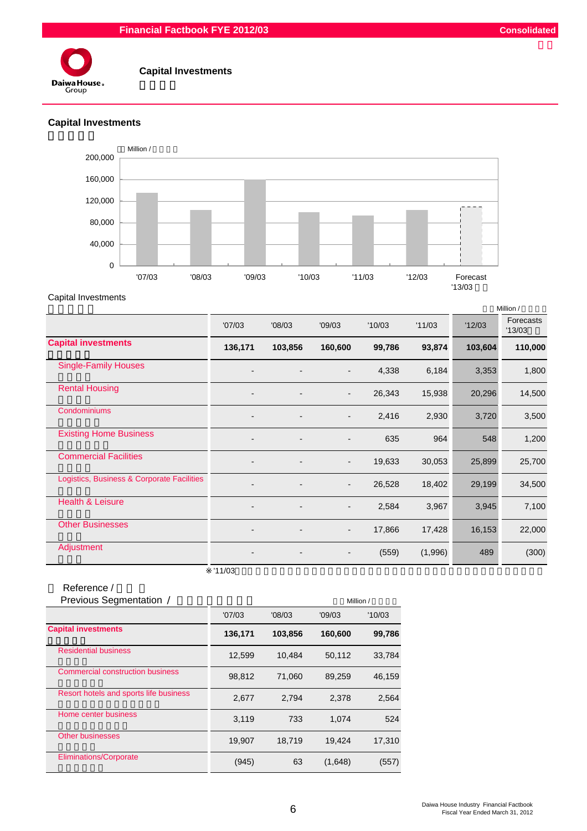#### **Financial Factbook FYE 2012/03 Consolidated**



#### **Capital Investments**

## **Capital Investments**



Capital Investments

|                                            |                              |         |                          |        |         |         | Million /           |
|--------------------------------------------|------------------------------|---------|--------------------------|--------|---------|---------|---------------------|
|                                            | '07/03                       | '08/03  | '09/03                   | '10/03 | '11/03  | '12/03  | Forecasts<br>'13/03 |
| <b>Capital investments</b>                 | 136,171                      | 103,856 | 160,600                  | 99,786 | 93,874  | 103,604 | 110,000             |
| <b>Single-Family Houses</b>                | $\overline{\phantom{0}}$     |         | $\overline{\phantom{a}}$ | 4,338  | 6,184   | 3,353   | 1,800               |
| <b>Rental Housing</b>                      | $\overline{\phantom{0}}$     |         | $\overline{\phantom{a}}$ | 26,343 | 15,938  | 20,296  | 14,500              |
| Condominiums                               |                              |         | $\overline{\phantom{a}}$ | 2,416  | 2,930   | 3,720   | 3,500               |
| <b>Existing Home Business</b>              | $\overline{\phantom{0}}$     |         | $\overline{\phantom{0}}$ | 635    | 964     | 548     | 1,200               |
| <b>Commercial Facilities</b>               | $\overline{\phantom{0}}$     |         | $\overline{\phantom{a}}$ | 19,633 | 30,053  | 25,899  | 25,700              |
| Logistics, Business & Corporate Facilities |                              |         | $\blacksquare$           | 26,528 | 18,402  | 29,199  | 34,500              |
| <b>Health &amp; Leisure</b>                |                              |         | -                        | 2,584  | 3,967   | 3,945   | 7,100               |
| <b>Other Businesses</b>                    | $\qquad \qquad \blacksquare$ |         | $\overline{\phantom{a}}$ | 17,866 | 17,428  | 16,153  | 22,000              |
| Adjustment                                 | $\qquad \qquad \blacksquare$ |         | $\overline{\phantom{a}}$ | (559)  | (1,996) | 489     | (300)               |
|                                            | '11/03                       |         |                          |        |         |         |                     |

| Reference /                            |         |         |         |           |
|----------------------------------------|---------|---------|---------|-----------|
| Previous Segmentation /                |         |         |         | Million / |
|                                        | '07/03  | '08/03  | '09/03  | '10/03    |
| <b>Capital investments</b>             | 136,171 | 103,856 | 160,600 | 99,786    |
| <b>Residential business</b>            | 12,599  | 10,484  | 50,112  | 33,784    |
| Commercial construction business       | 98,812  | 71,060  | 89,259  | 46,159    |
| Resort hotels and sports life business | 2,677   | 2,794   | 2,378   | 2,564     |
| Home center business                   | 3,119   | 733     | 1.074   | 524       |
| <b>Other businesses</b>                | 19,907  | 18,719  | 19,424  | 17,310    |
| <b>Eliminations/Corporate</b>          | (945)   | 63      | (1,648) | (557)     |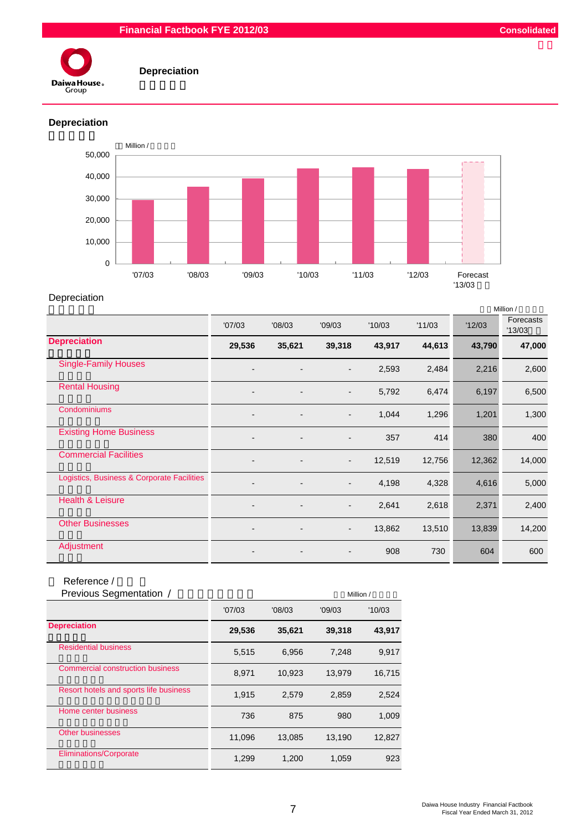

## **Depreciation**

## **Depreciation**



## Depreciation

|                                            |                          |        |                          |        |        |        | Million /          |
|--------------------------------------------|--------------------------|--------|--------------------------|--------|--------|--------|--------------------|
|                                            | '07/03                   | '08/03 | '09/03                   | '10/03 | '11/03 | '12/03 | Forecasts<br>13/03 |
| <b>Depreciation</b>                        | 29,536                   | 35,621 | 39,318                   | 43,917 | 44,613 | 43,790 | 47,000             |
| <b>Single-Family Houses</b>                | $\overline{\phantom{0}}$ |        | $\overline{\phantom{a}}$ | 2,593  | 2,484  | 2,216  | 2,600              |
| <b>Rental Housing</b>                      | $\overline{\phantom{a}}$ |        | $\overline{\phantom{a}}$ | 5,792  | 6,474  | 6,197  | 6,500              |
| Condominiums                               | $\blacksquare$           |        | $\overline{\phantom{0}}$ | 1,044  | 1,296  | 1,201  | 1,300              |
| <b>Existing Home Business</b>              | $\blacksquare$           |        | $\overline{a}$           | 357    | 414    | 380    | 400                |
| <b>Commercial Facilities</b>               | $\overline{\phantom{a}}$ |        | $\overline{\phantom{a}}$ | 12,519 | 12,756 | 12,362 | 14,000             |
| Logistics, Business & Corporate Facilities |                          |        | $\overline{\phantom{a}}$ | 4,198  | 4,328  | 4,616  | 5,000              |
| <b>Health &amp; Leisure</b>                | $\blacksquare$           |        | $\overline{\phantom{a}}$ | 2,641  | 2,618  | 2,371  | 2,400              |
| <b>Other Businesses</b>                    | $\overline{\phantom{a}}$ |        | $\overline{\phantom{a}}$ | 13,862 | 13,510 | 13,839 | 14,200             |
| Adjustment                                 |                          |        |                          | 908    | 730    | 604    | 600                |

## Reference /

| Previous Segmentation /                 |        |        |        | Million / |
|-----------------------------------------|--------|--------|--------|-----------|
|                                         | '07/03 | '08/03 | '09/03 | '10/03    |
| <b>Depreciation</b>                     | 29,536 | 35,621 | 39,318 | 43,917    |
| <b>Residential business</b>             | 5,515  | 6,956  | 7,248  | 9,917     |
| <b>Commercial construction business</b> | 8,971  | 10,923 | 13,979 | 16,715    |
| Resort hotels and sports life business  | 1,915  | 2,579  | 2,859  | 2,524     |
| Home center business                    | 736    | 875    | 980    | 1,009     |
| Other businesses                        | 11,096 | 13.085 | 13.190 | 12.827    |
| <b>Eliminations/Corporate</b>           | 1,299  | 1,200  | 1,059  | 923       |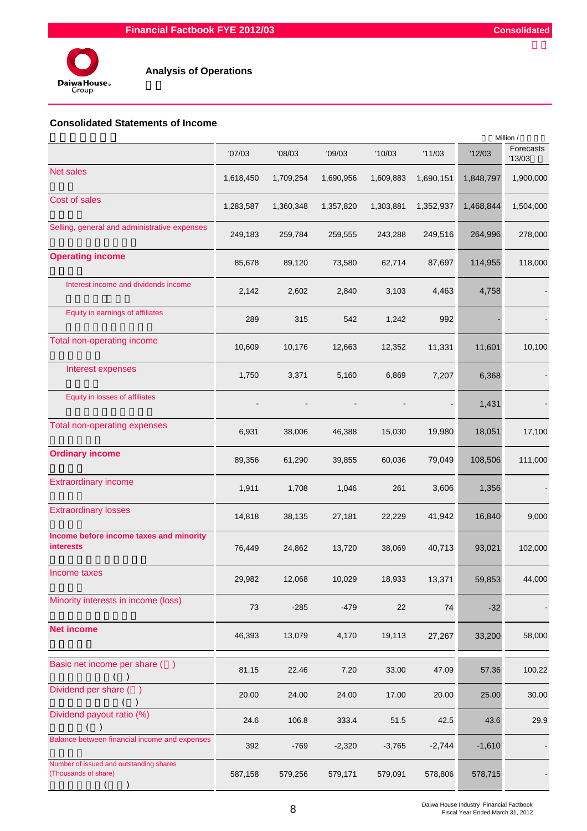

## **Consolidated Statements of Income**

|                                                                 |           |           |           |           |           |           | Million /          |
|-----------------------------------------------------------------|-----------|-----------|-----------|-----------|-----------|-----------|--------------------|
|                                                                 | '07/03    | '08/03    | '09/03    | '10/03    | '11/03    | '12/03    | Forecasts<br>13/03 |
| <b>Net sales</b>                                                | 1,618,450 | 1,709,254 | 1,690,956 | 1,609,883 | 1,690,151 | 1,848,797 | 1,900,000          |
| Cost of sales                                                   | 1,283,587 | 1,360,348 | 1,357,820 | 1,303,881 | 1,352,937 | 1,468,844 | 1,504,000          |
| Selling, general and administrative expenses                    | 249,183   | 259,784   | 259,555   | 243,288   | 249,516   | 264,996   | 278,000            |
| <b>Operating income</b>                                         | 85,678    | 89,120    | 73,580    | 62,714    | 87,697    | 114,955   | 118,000            |
| Interest income and dividends income                            | 2,142     | 2,602     | 2,840     | 3,103     | 4,463     | 4,758     |                    |
| Equity in earnings of affiliates                                | 289       | 315       | 542       | 1,242     | 992       |           |                    |
| Total non-operating income                                      | 10,609    | 10,176    | 12,663    | 12,352    | 11,331    | 11,601    | 10,100             |
| Interest expenses                                               | 1,750     | 3,371     | 5,160     | 6,869     | 7,207     | 6,368     |                    |
| Equity in losses of affiliates                                  |           |           |           |           |           | 1,431     |                    |
| Total non-operating expenses                                    | 6,931     | 38,006    | 46,388    | 15,030    | 19,980    | 18,051    | 17,100             |
| <b>Ordinary income</b>                                          | 89,356    | 61,290    | 39,855    | 60,036    | 79,049    | 108,506   | 111,000            |
| <b>Extraordinary income</b>                                     | 1,911     | 1,708     | 1,046     | 261       | 3,606     | 1,356     |                    |
| <b>Extraordinary losses</b>                                     | 14,818    | 38,135    | 27,181    | 22,229    | 41,942    | 16,840    | 9,000              |
| Income before income taxes and minority<br><b>interests</b>     | 76,449    | 24,862    | 13,720    | 38,069    | 40,713    | 93,021    | 102,000            |
| Income taxes                                                    | 29,982    | 12,068    | 10,029    | 18,933    | 13,371    | 59,853    | 44,000             |
| Minority interests in income (loss)                             | 73        | $-285$    | $-479$    | 22        | 74        | $-32$     |                    |
| <b>Net income</b>                                               | 46,393    | 13,079    | 4,170     | 19,113    | 27,267    | 33,200    | 58,000             |
| Basic net income per share ()<br>$($ )                          | 81.15     | 22.46     | 7.20      | 33.00     | 47.09     | 57.36     | 100.22             |
| Dividend per share ()                                           | 20.00     | 24.00     | 24.00     | 17.00     | 20.00     | 25.00     | 30.00              |
| Dividend payout ratio (%)                                       | 24.6      | 106.8     | 333.4     | 51.5      | 42.5      | 43.6      | 29.9               |
| Balance between financial income and expenses                   | 392       | $-769$    | $-2,320$  | $-3,765$  | $-2,744$  | $-1,610$  |                    |
| Number of issued and outstanding shares<br>(Thousands of share) | 587,158   | 579,256   | 579,171   | 579,091   | 578,806   | 578,715   |                    |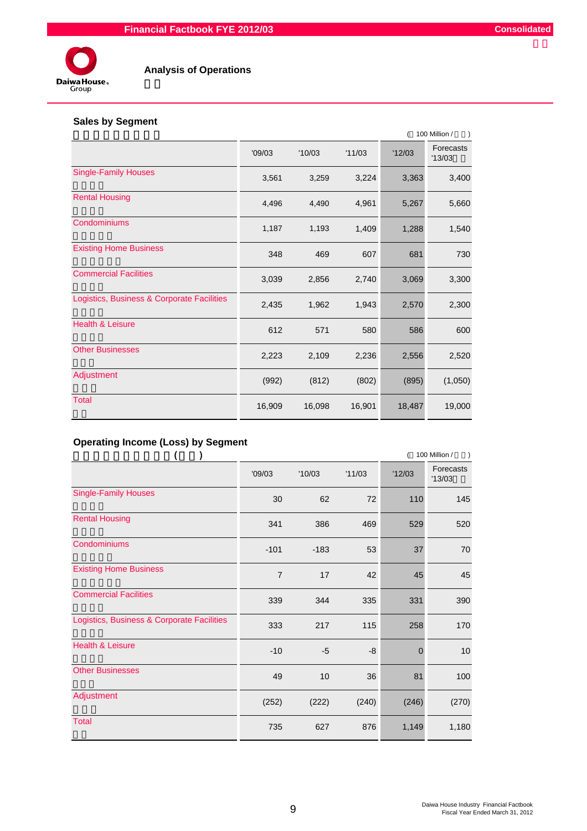

#### **Analysis of Operations**

## **Sales by Segment**

|                                            |        | 100 Million / |        |        |                     |  |  |
|--------------------------------------------|--------|---------------|--------|--------|---------------------|--|--|
|                                            | '09/03 | '10/03        | '11/03 | '12/03 | Forecasts<br>'13/03 |  |  |
| <b>Single-Family Houses</b>                | 3,561  | 3,259         | 3,224  | 3,363  | 3,400               |  |  |
| <b>Rental Housing</b>                      | 4,496  | 4,490         | 4,961  | 5,267  | 5,660               |  |  |
| Condominiums                               | 1,187  | 1,193         | 1,409  | 1,288  | 1,540               |  |  |
| <b>Existing Home Business</b>              | 348    | 469           | 607    | 681    | 730                 |  |  |
| <b>Commercial Facilities</b>               | 3,039  | 2,856         | 2,740  | 3,069  | 3,300               |  |  |
| Logistics, Business & Corporate Facilities | 2,435  | 1,962         | 1,943  | 2,570  | 2,300               |  |  |
| Health & Leisure                           | 612    | 571           | 580    | 586    | 600                 |  |  |
| <b>Other Businesses</b>                    | 2,223  | 2,109         | 2,236  | 2,556  | 2,520               |  |  |
| Adjustment                                 | (992)  | (812)         | (802)  | (895)  | (1,050)             |  |  |
| <b>Total</b>                               | 16,909 | 16,098        | 16,901 | 18,487 | 19,000              |  |  |

## **Operating Income (Loss) by Segment**

|                                            |                |        |        | 100 Million / |                     |  |  |
|--------------------------------------------|----------------|--------|--------|---------------|---------------------|--|--|
|                                            | '09/03         | '10/03 | '11/03 | '12/03        | Forecasts<br>'13/03 |  |  |
| <b>Single-Family Houses</b>                | 30             | 62     | 72     | 110           | 145                 |  |  |
| <b>Rental Housing</b>                      | 341            | 386    | 469    | 529           | 520                 |  |  |
| Condominiums                               | $-101$         | $-183$ | 53     | 37            | 70                  |  |  |
| <b>Existing Home Business</b>              | $\overline{7}$ | 17     | 42     | 45            | 45                  |  |  |
| <b>Commercial Facilities</b>               | 339            | 344    | 335    | 331           | 390                 |  |  |
| Logistics, Business & Corporate Facilities | 333            | 217    | 115    | 258           | 170                 |  |  |
| <b>Health &amp; Leisure</b>                | $-10$          | $-5$   | -8     | $\mathbf 0$   | 10                  |  |  |
| <b>Other Businesses</b>                    | 49             | 10     | 36     | 81            | 100                 |  |  |
| Adjustment                                 | (252)          | (222)  | (240)  | (246)         | (270)               |  |  |
| <b>Total</b>                               | 735            | 627    | 876    | 1,149         | 1,180               |  |  |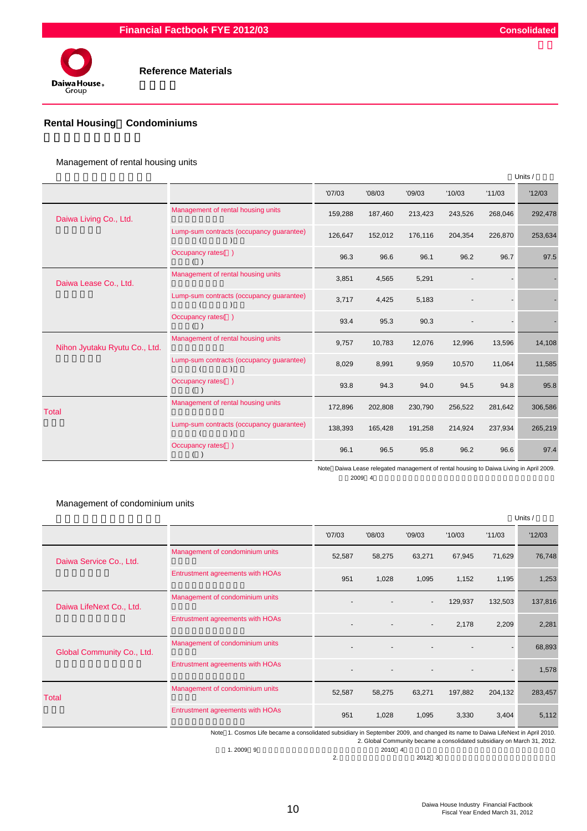

#### **Rental Housing**/**Condominiums**

Management of rental housing units

|                               |                                          |         |         |         |         |         | Units / |
|-------------------------------|------------------------------------------|---------|---------|---------|---------|---------|---------|
|                               |                                          | '07/03  | '08/03  | '09/03  | '10/03  | '11/03  | '12/03  |
| Daiwa Living Co., Ltd.        | Management of rental housing units       | 159,288 | 187,460 | 213,423 | 243,526 | 268,046 | 292,478 |
|                               | Lump-sum contracts (occupancy guarantee) | 126,647 | 152,012 | 176,116 | 204,354 | 226,870 | 253,634 |
|                               | Occupancy rates()                        | 96.3    | 96.6    | 96.1    | 96.2    | 96.7    | 97.5    |
| Daiwa Lease Co., Ltd.         | Management of rental housing units       | 3,851   | 4,565   | 5,291   |         |         |         |
|                               | Lump-sum contracts (occupancy guarantee) | 3,717   | 4,425   | 5,183   |         |         |         |
|                               | Occupancy rates()                        | 93.4    | 95.3    | 90.3    |         |         |         |
| Nihon Jyutaku Ryutu Co., Ltd. | Management of rental housing units       | 9,757   | 10,783  | 12,076  | 12,996  | 13,596  | 14,108  |
|                               | Lump-sum contracts (occupancy guarantee) | 8,029   | 8,991   | 9,959   | 10,570  | 11,064  | 11,585  |
|                               | Occupancy rates()                        | 93.8    | 94.3    | 94.0    | 94.5    | 94.8    | 95.8    |
| Total                         | Management of rental housing units       | 172,896 | 202,808 | 230,790 | 256,522 | 281,642 | 306,586 |
|                               | Lump-sum contracts (occupancy guarantee) | 138,393 | 165,428 | 191,258 | 214,924 | 237,934 | 265,219 |
|                               | Occupancy rates()                        | 96.1    | 96.5    | 95.8    | 96.2    | 96.6    | 97.4    |

Note Daiwa Lease relegated management of rental housing to Daiwa Living in April 2009. 2009 4

Management of condominium units

|                            |                                  |        |        |                          |         |         | Units / |
|----------------------------|----------------------------------|--------|--------|--------------------------|---------|---------|---------|
|                            |                                  | '07/03 | '08/03 | '09/03                   | '10/03  | '11/03  | '12/03  |
| Daiwa Service Co., Ltd.    | Management of condominium units  | 52,587 | 58,275 | 63,271                   | 67,945  | 71,629  | 76,748  |
|                            | Entrustment agreements with HOAs | 951    | 1,028  | 1,095                    | 1,152   | 1,195   | 1,253   |
| Daiwa LifeNext Co., Ltd.   | Management of condominium units  |        |        | $\overline{\phantom{a}}$ | 129,937 | 132,503 | 137,816 |
|                            | Entrustment agreements with HOAs |        |        | $\blacksquare$           | 2,178   | 2,209   | 2,281   |
| Global Community Co., Ltd. | Management of condominium units  |        |        |                          |         |         | 68,893  |
|                            | Entrustment agreements with HOAs |        |        |                          |         |         | 1,578   |
| <b>Total</b>               | Management of condominium units  | 52,587 | 58,275 | 63,271                   | 197,882 | 204,132 | 283,457 |
|                            | Entrustment agreements with HOAs | 951    | 1,028  | 1,095                    | 3,330   | 3,404   | 5,112   |
|                            | $\cdots$<br>.                    | .      |        | $\sim$                   |         | .       |         |

Note 1. Cosmos Life became a consolidated subsidiary in September 2009, and changed its name to Daiwa LifeNext in April 2010.

 $1.2009 \quad 9$  **2010 4** 

2. 2012 3

2. Global Community became a consolidated subsidiary on March 31, 2012.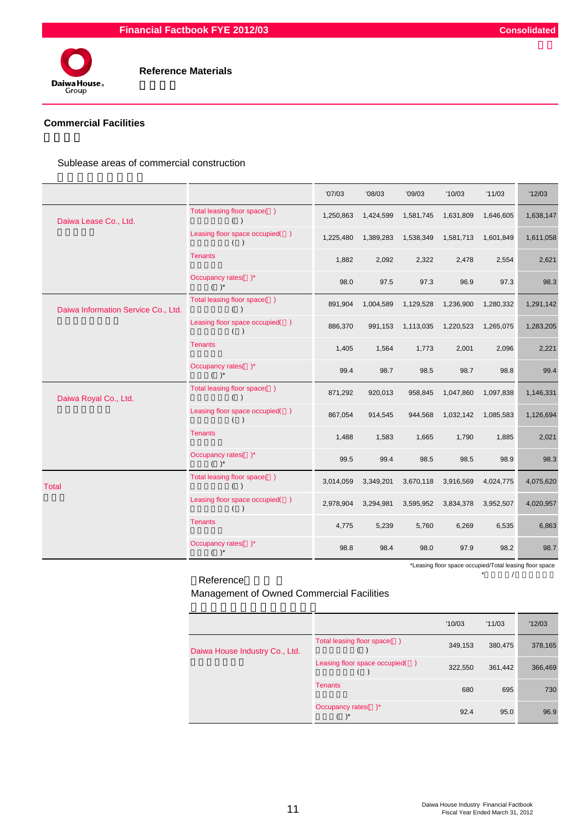

## **Commercial Facilities**

Sublease areas of commercial construction

|                                     |                                       | '07/03    | '08/03    | '09/03    | '10/03    | '11/03    | '12/03    |
|-------------------------------------|---------------------------------------|-----------|-----------|-----------|-----------|-----------|-----------|
| Daiwa Lease Co., Ltd.               | Total leasing floor space()<br>$($ )  | 1,250,863 | 1,424,599 | 1,581,745 | 1,631,809 | 1,646,605 | 1,638,147 |
|                                     | Leasing floor space occupied()<br>( ) | 1,225,480 | 1,389,283 | 1,538,349 | 1,581,713 | 1,601,849 | 1,611,058 |
|                                     | <b>Tenants</b>                        | 1,882     | 2,092     | 2,322     | 2,478     | 2,554     | 2,621     |
|                                     | Occupancy rates()*<br>$( )^*$         | 98.0      | 97.5      | 97.3      | 96.9      | 97.3      | 98.3      |
| Daiwa Information Service Co., Ltd. | Total leasing floor space()<br>$($ )  | 891,904   | 1,004,589 | 1,129,528 | 1,236,900 | 1,280,332 | 1,291,142 |
|                                     | Leasing floor space occupied()<br>( ) | 886,370   | 991,153   | 1,113,035 | 1,220,523 | 1,265,075 | 1,283,205 |
|                                     | <b>Tenants</b>                        | 1,405     | 1,564     | 1,773     | 2,001     | 2,096     | 2,221     |
|                                     | Occupancy rates()*<br>$( )^*$         | 99.4      | 98.7      | 98.5      | 98.7      | 98.8      | 99.4      |
| Daiwa Royal Co., Ltd.               | Total leasing floor space()<br>( )    | 871,292   | 920,013   | 958,845   | 1,047,860 | 1,097,838 | 1,146,331 |
|                                     | Leasing floor space occupied()<br>( ) | 867,054   | 914,545   | 944,568   | 1,032,142 | 1,085,583 | 1,126,694 |
|                                     | <b>Tenants</b>                        | 1,488     | 1,583     | 1,665     | 1,790     | 1,885     | 2,021     |
|                                     | Occupancy rates()*<br>$( )^*$         | 99.5      | 99.4      | 98.5      | 98.5      | 98.9      | 98.3      |
| <b>Total</b>                        | Total leasing floor space()<br>( )    | 3,014,059 | 3,349,201 | 3,670,118 | 3,916,569 | 4,024,775 | 4,075,620 |
|                                     | Leasing floor space occupied()<br>( ) | 2,978,904 | 3,294,981 | 3,595,952 | 3,834,378 | 3,952,507 | 4,020,957 |
|                                     | <b>Tenants</b>                        | 4,775     | 5,239     | 5,760     | 6,269     | 6,535     | 6,863     |
|                                     | Occupancy rates()*<br>$( )^*$         | 98.8      | 98.4      | 98.0      | 97.9      | 98.2      | 98.7      |

\*Leasing floor space occupied/Total leasing floor space

Reference 参考 \*入居面積/賃貸可能面積

Management of Owned Commercial Facilities

|                                |                                | '10/03  | '11/03  | '12/03  |
|--------------------------------|--------------------------------|---------|---------|---------|
| Daiwa House Industry Co., Ltd. | Total leasing floor space()    | 349,153 | 380,475 | 378,165 |
|                                | Leasing floor space occupied() | 322,550 | 361,442 | 366,469 |
|                                | <b>Tenants</b>                 | 680     | 695     | 730     |
|                                | Occupancy rates()*             | 92.4    | 95.0    | 96.9    |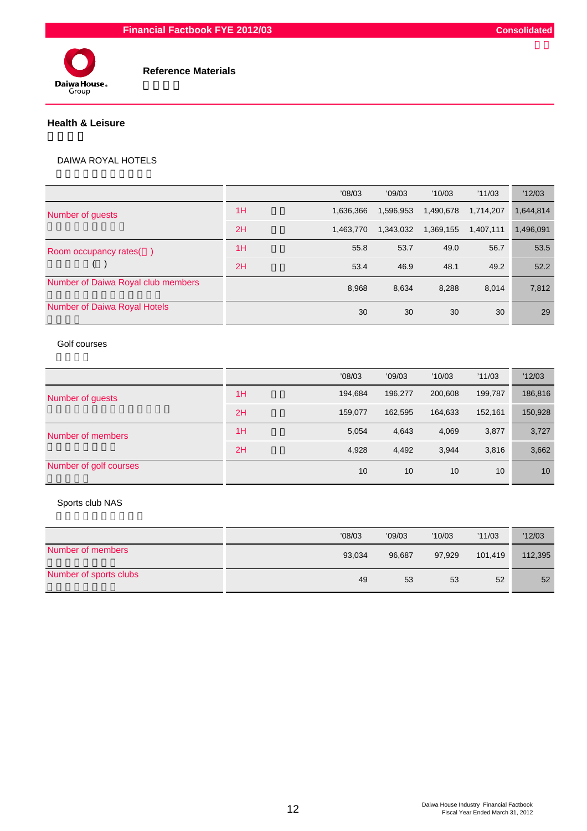#### **Financial Factbook FYE 2012/03 Consolidated**



 **Reference Materials**

#### **Health & Leisure**

#### DAIWA ROYAL HOTELS

|                                     |    | '08/03    | '09/03    | '10/03    | '11/03    | '12/03    |
|-------------------------------------|----|-----------|-----------|-----------|-----------|-----------|
| Number of guests                    | 1H | 1.636.366 | 1,596,953 | 1,490,678 | 1.714.207 | 1,644,814 |
|                                     | 2H | 1.463.770 | 1,343,032 | 1,369,155 | 1,407,111 | 1,496,091 |
| Room occupancy rates()              | 1H | 55.8      | 53.7      | 49.0      | 56.7      | 53.5      |
|                                     | 2H | 53.4      | 46.9      | 48.1      | 49.2      | 52.2      |
| Number of Daiwa Royal club members  |    | 8,968     | 8,634     | 8,288     | 8,014     | 7,812     |
| <b>Number of Daiwa Royal Hotels</b> |    | 30        | 30        | 30        | 30        | 29        |

#### Golf courses

|                        |    | '08/03  | '09/03  | '10/03  | '11/03  | '12/03  |
|------------------------|----|---------|---------|---------|---------|---------|
| Number of guests       | 1H | 194,684 | 196,277 | 200,608 | 199,787 | 186,816 |
|                        | 2H | 159,077 | 162,595 | 164.633 | 152,161 | 150,928 |
| Number of members      | 1H | 5.054   | 4,643   | 4,069   | 3,877   | 3,727   |
|                        | 2H | 4,928   | 4,492   | 3.944   | 3.816   | 3,662   |
| Number of golf courses |    | 10      | 10      | 10      | 10      | 10      |

#### Sports club NAS

|                        | '08/03 | '09/03 | '10/03 | '11/03  | '12/03  |
|------------------------|--------|--------|--------|---------|---------|
| Number of members      | 93,034 | 96.687 | 97,929 | 101,419 | 112,395 |
| Number of sports clubs | 49     | 53     | 53     | 52      | 52      |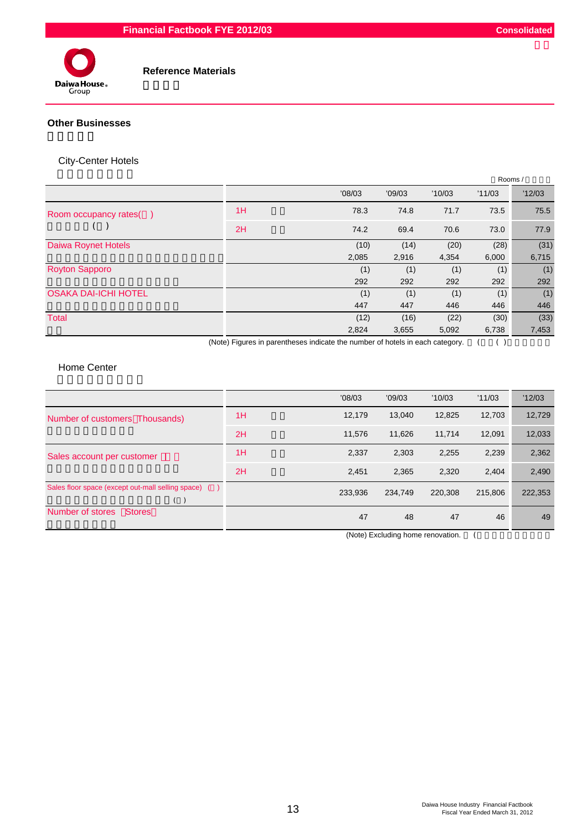

 **Reference Materials**

#### **Other Businesses**

## City-Center Hotels

|                             |    |                                                                                      |        |        | Rooms/     |        |  |
|-----------------------------|----|--------------------------------------------------------------------------------------|--------|--------|------------|--------|--|
|                             |    | '08/03                                                                               | '09/03 | '10/03 | '11/03     | '12/03 |  |
| Room occupancy rates()      | 1H | 78.3                                                                                 | 74.8   | 71.7   | 73.5       | 75.5   |  |
|                             | 2H | 74.2                                                                                 | 69.4   | 70.6   | 73.0       | 77.9   |  |
| Daiwa Roynet Hotels         |    | (10)                                                                                 | (14)   | (20)   | (28)       | (31)   |  |
|                             |    | 2,085                                                                                | 2,916  | 4,354  | 6,000      | 6,715  |  |
| <b>Royton Sapporo</b>       |    | (1)                                                                                  | (1)    | (1)    | (1)        | (1)    |  |
|                             |    | 292                                                                                  | 292    | 292    | 292        | 292    |  |
| <b>OSAKA DAI-ICHI HOTEL</b> |    | (1)                                                                                  | (1)    | (1)    | (1)        | (1)    |  |
|                             |    | 447                                                                                  | 447    | 446    | 446        | 446    |  |
| <b>Total</b>                |    | (12)                                                                                 | (16)   | (22)   | (30)       | (33)   |  |
|                             |    | 2,824                                                                                | 3,655  | 5,092  | 6,738      | 7,453  |  |
|                             |    | (Alata) $\Gamma$ inusa in pasauthaana indianta tha pumbas af hatala in anah antananu |        |        | $\sqrt{2}$ |        |  |

(Note) Figures in parentheses indicate the number of hotels in each category. (Casabele 1)

## Home Center

|                                                             |    | '08/03  | '09/03  | '10/03  | '11/03  | '12/03  |
|-------------------------------------------------------------|----|---------|---------|---------|---------|---------|
| Number of customers Thousands)                              | 1H | 12,179  | 13.040  | 12,825  | 12,703  | 12,729  |
|                                                             | 2H | 11.576  | 11,626  | 11.714  | 12.091  | 12,033  |
| Sales account per customer                                  | 1H | 2,337   | 2,303   | 2,255   | 2,239   | 2,362   |
|                                                             | 2H | 2,451   | 2.365   | 2,320   | 2,404   | 2,490   |
| Sales floor space (except out-mall selling space) ()<br>( ) |    | 233.936 | 234.749 | 220.308 | 215,806 | 222,353 |
| Number of stores<br><b>Stores</b>                           |    | 47      | 48      | 47      | 46      | 49      |

(Note) Excluding home renovation. (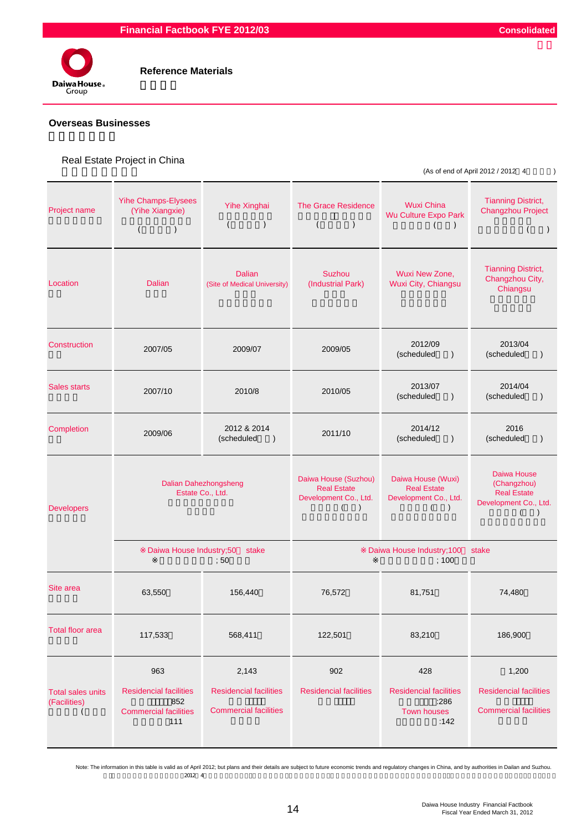

#### **Overseas Businesses**

#### Real Estate Project in China

 $(As of end of April 2012 / 2012 4)$ 

| Project name                             | <b>Yihe Champs-Elysees</b><br>(Yihe Xiangxie)<br>$\overline{(\ }$<br>$\mathcal{L}$                                                                           | Yihe Xinghai<br>$\overline{(\ }$<br>$\lambda$ | <b>The Grace Residence</b><br>$\overline{(\ }$<br>$\mathcal{C}$                                  | <b>Wuxi China</b><br>Wu Culture Expo Park<br>$\mathcal{C}$<br>(                            | <b>Tianning District,</b><br><b>Changzhou Project</b><br>$\left($<br>$\rightarrow$                       |  |  |
|------------------------------------------|--------------------------------------------------------------------------------------------------------------------------------------------------------------|-----------------------------------------------|--------------------------------------------------------------------------------------------------|--------------------------------------------------------------------------------------------|----------------------------------------------------------------------------------------------------------|--|--|
| Location                                 | <b>Dalian</b>                                                                                                                                                | <b>Dalian</b><br>(Site of Medical University) | Suzhou<br>(Industrial Park)                                                                      | Wuxi New Zone,<br>Wuxi City, Chiangsu                                                      | <b>Tianning District,</b><br>Changzhou City,<br>Chiangsu                                                 |  |  |
| Construction                             | 2007/05                                                                                                                                                      | 2009/07                                       | 2009/05                                                                                          | 2012/09<br>(scheduled<br>$\lambda$                                                         | 2013/04<br>(scheduled<br>$\lambda$                                                                       |  |  |
| <b>Sales starts</b>                      | 2007/10                                                                                                                                                      | 2010/8                                        |                                                                                                  | 2013/07<br>(scheduled<br>$\lambda$                                                         | 2014/04<br>(scheduled<br>$\lambda$                                                                       |  |  |
| Completion                               | 2009/06                                                                                                                                                      | 2012 & 2014<br>(scheduled<br>$\lambda$        | 2011/10                                                                                          | 2014/12<br>(scheduled<br>$\lambda$                                                         | 2016<br>(scheduled<br>$\mathcal{E}$                                                                      |  |  |
| <b>Developers</b>                        | <b>Dalian Dahezhongsheng</b><br>Estate Co., Ltd.                                                                                                             |                                               | Daiwa House (Suzhou)<br><b>Real Estate</b><br>Development Co., Ltd.<br>$\left($<br>$\rightarrow$ | Daiwa House (Wuxi)<br><b>Real Estate</b><br>Development Co., Ltd.<br>$\left($<br>$\lambda$ | Daiwa House<br>(Changzhou)<br><b>Real Estate</b><br>Development Co., Ltd.<br>$\lambda$<br>$\overline{ }$ |  |  |
|                                          | Daiwa House Industry;50                                                                                                                                      | stake<br>;50                                  | Daiwa House Industry; 100<br>stake<br>;100                                                       |                                                                                            |                                                                                                          |  |  |
| Site area                                | 63,550                                                                                                                                                       | 156,440                                       | 76,572                                                                                           | 81,751                                                                                     | 74,480                                                                                                   |  |  |
| <b>Total floor area</b>                  | 117,533                                                                                                                                                      | 568,411                                       | 122,501                                                                                          | 83,210                                                                                     | 186,900                                                                                                  |  |  |
| <b>Total sales units</b><br>(Facilities) | 963<br>2,143<br><b>Residencial facilities</b><br><b>Residencial facilities</b><br>852<br><b>Commercial facilities</b><br><b>Commercial facilities</b><br>111 |                                               | 902<br><b>Residencial facilities</b>                                                             | 428<br><b>Residencial facilities</b><br>:286<br><b>Town houses</b><br>:142                 | 1,200<br><b>Residencial facilities</b><br><b>Commercial facilities</b>                                   |  |  |

 $2012 \t4$ Note: The information in this table is valid as of April 2012; but plans and their details are subject to future economic trends and regulatory changes in China, and by authorities in Dailan and Suzhou.<br>2012 4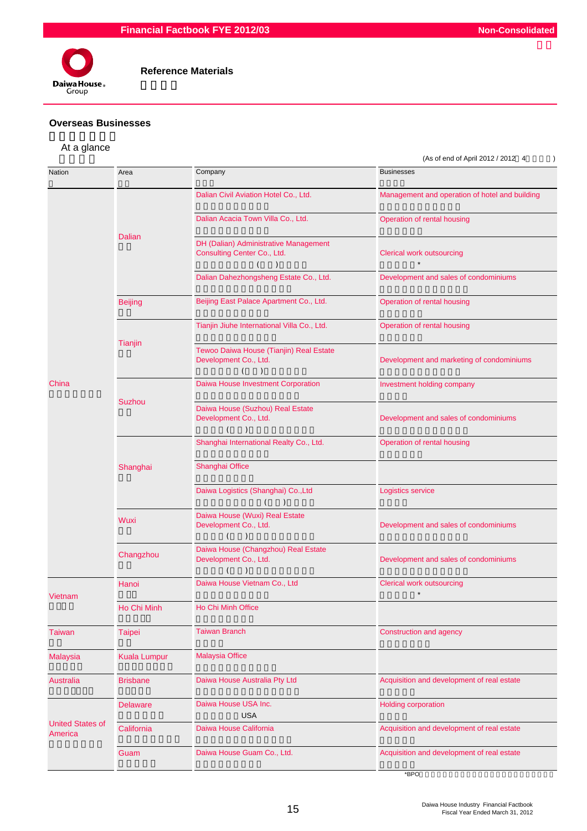



#### **Overseas Businesses**

## At a glance

|                                    |                 |                                                                                        | (As of end of April 2012 / 2012 4              |  |  |  |
|------------------------------------|-----------------|----------------------------------------------------------------------------------------|------------------------------------------------|--|--|--|
| Nation                             | Area            | Company                                                                                | <b>Businesses</b>                              |  |  |  |
|                                    |                 | Dalian Civil Aviation Hotel Co., Ltd.                                                  | Management and operation of hotel and building |  |  |  |
| Vietnam                            |                 | Dalian Acacia Town Villa Co., Ltd.                                                     | Operation of rental housing                    |  |  |  |
|                                    | <b>Dalian</b>   | DH (Dalian) Administrative Management<br>Consulting Center Co., Ltd.<br>(<br>$\lambda$ | <b>Clerical work outsourcing</b>               |  |  |  |
|                                    |                 | Dalian Dahezhongsheng Estate Co., Ltd.                                                 | Development and sales of condominiums          |  |  |  |
|                                    | <b>Beijing</b>  | Beijing East Palace Apartment Co., Ltd.                                                | Operation of rental housing                    |  |  |  |
|                                    |                 | Tianjin Jiuhe International Villa Co., Ltd.                                            | Operation of rental housing                    |  |  |  |
|                                    | Tianjin         | Tewoo Daiwa House (Tianjin) Real Estate<br>Development Co., Ltd.                       | Development and marketing of condominiums      |  |  |  |
| China                              |                 | Daiwa House Investment Corporation                                                     | Investment holding company                     |  |  |  |
|                                    | Suzhou          | Daiwa House (Suzhou) Real Estate<br>Development Co., Ltd.<br>(<br>$\lambda$            | Development and sales of condominiums          |  |  |  |
|                                    |                 | Shanghai International Realty Co., Ltd.                                                | Operation of rental housing                    |  |  |  |
|                                    | Shanghai        | Shanghai Office                                                                        |                                                |  |  |  |
|                                    |                 | Daiwa Logistics (Shanghai) Co., Ltd<br>$\left($<br>$\lambda$                           | Logistics service                              |  |  |  |
|                                    | Wuxi            | Daiwa House (Wuxi) Real Estate<br>Development Co., Ltd.<br>$\lambda$<br>0              | Development and sales of condominiums          |  |  |  |
|                                    | Changzhou       | Daiwa House (Changzhou) Real Estate<br>Development Co., Ltd.<br>$\lambda$<br>(         | Development and sales of condominiums          |  |  |  |
|                                    | Hanoi           | Daiwa House Vietnam Co., Ltd                                                           | Clerical work outsourcing                      |  |  |  |
|                                    | Ho Chi Minh     | Ho Chi Minh Office                                                                     |                                                |  |  |  |
| <b>Taiwan</b>                      | <b>Taipei</b>   | <b>Taiwan Branch</b>                                                                   | Construction and agency                        |  |  |  |
| <b>Malaysia</b>                    | Kuala Lumpur    | <b>Malaysia Office</b>                                                                 |                                                |  |  |  |
| Australia                          | <b>Brisbane</b> | Daiwa House Australia Pty Ltd                                                          | Acquisition and development of real estate     |  |  |  |
|                                    | <b>Delaware</b> | Daiwa House USA Inc.<br><b>USA</b>                                                     | <b>Holding corporation</b>                     |  |  |  |
| <b>United States of</b><br>America | California      | Daiwa House California                                                                 | Acquisition and development of real estate     |  |  |  |
|                                    | Guam            | Daiwa House Guam Co., Ltd.                                                             | Acquisition and development of real estate     |  |  |  |
|                                    |                 |                                                                                        | *BPO                                           |  |  |  |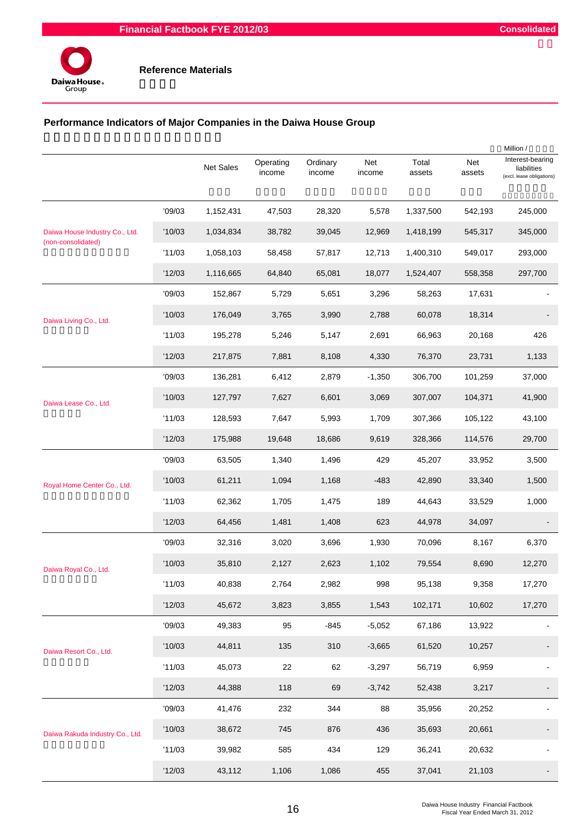

## **Performance Indicators of Major Companies in the Daiwa House Group**

|                                 |        | Net Sales | Operating<br>income | Ordinary<br>income | Net<br>income | Total<br>assets | Net<br>assets | Million /<br>Interest-bearing<br>liabilities<br>(excl. lease obligations) |
|---------------------------------|--------|-----------|---------------------|--------------------|---------------|-----------------|---------------|---------------------------------------------------------------------------|
|                                 | '09/03 | 1,152,431 | 47,503              | 28,320             | 5,578         | 1,337,500       | 542,193       | 245,000                                                                   |
| Daiwa House Industry Co., Ltd.  | '10/03 | 1,034,834 | 38,782              | 39,045             | 12,969        | 1,418,199       | 545,317       | 345,000                                                                   |
| (non-consolidated)              | '11/03 | 1,058,103 | 58,458              | 57,817             | 12,713        | 1,400,310       | 549,017       | 293,000                                                                   |
|                                 | '12/03 | 1,116,665 | 64,840              | 65,081             | 18,077        | 1,524,407       | 558,358       | 297,700                                                                   |
|                                 | '09/03 | 152,867   | 5,729               | 5,651              | 3,296         | 58,263          | 17,631        |                                                                           |
| Daiwa Living Co., Ltd.          | '10/03 | 176,049   | 3,765               | 3,990              | 2,788         | 60,078          | 18,314        |                                                                           |
|                                 | '11/03 | 195,278   | 5,246               | 5,147              | 2,691         | 66,963          | 20,168        | 426                                                                       |
|                                 | '12/03 | 217,875   | 7,881               | 8,108              | 4,330         | 76,370          | 23,731        | 1,133                                                                     |
|                                 | '09/03 | 136,281   | 6,412               | 2,879              | $-1,350$      | 306,700         | 101,259       | 37,000                                                                    |
| Daiwa Lease Co., Ltd.           | '10/03 | 127,797   | 7,627               | 6,601              | 3,069         | 307,007         | 104,371       | 41,900                                                                    |
|                                 | '11/03 | 128,593   | 7,647               | 5,993              | 1,709         | 307,366         | 105,122       | 43,100                                                                    |
|                                 | '12/03 | 175,988   | 19,648              | 18,686             | 9,619         | 328,366         | 114,576       | 29,700                                                                    |
| Royal Home Center Co., Ltd.     | '09/03 | 63,505    | 1,340               | 1,496              | 429           | 45,207          | 33,952        | 3,500                                                                     |
|                                 | '10/03 | 61,211    | 1,094               | 1,168              | $-483$        | 42,890          | 33,340        | 1,500                                                                     |
|                                 | '11/03 | 62,362    | 1,705               | 1,475              | 189           | 44,643          | 33,529        | 1,000                                                                     |
|                                 | '12/03 | 64,456    | 1,481               | 1,408              | 623           | 44,978          | 34,097        |                                                                           |
|                                 | '09/03 | 32,316    | 3,020               | 3,696              | 1,930         | 70,096          | 8,167         | 6,370                                                                     |
| Daiwa Royal Co., Ltd.           | '10/03 | 35,810    | 2,127               | 2,623              | 1,102         | 79,554          | 8,690         | 12,270                                                                    |
|                                 | '11/03 | 40,838    | 2,764               | 2,982              | 998           | 95,138          | 9,358         | 17,270                                                                    |
|                                 | '12/03 | 45,672    | 3,823               | 3,855              | 1,543         | 102,171         | 10,602        | 17,270                                                                    |
|                                 | '09/03 | 49,383    | 95                  | $-845$             | $-5,052$      | 67,186          | 13,922        |                                                                           |
| Daiwa Resort Co., Ltd.          | '10/03 | 44,811    | 135                 | 310                | $-3,665$      | 61,520          | 10,257        |                                                                           |
|                                 | '11/03 | 45,073    | 22                  | 62                 | $-3,297$      | 56,719          | 6,959         |                                                                           |
|                                 | '12/03 | 44,388    | 118                 | 69                 | $-3,742$      | 52,438          | 3,217         |                                                                           |
|                                 | '09/03 | 41,476    | 232                 | 344                | 88            | 35,956          | 20,252        |                                                                           |
| Daiwa Rakuda Industry Co., Ltd. | '10/03 | 38,672    | 745                 | 876                | 436           | 35,693          | 20,661        |                                                                           |
|                                 | '11/03 | 39,982    | 585                 | 434                | 129           | 36,241          | 20,632        |                                                                           |
|                                 | '12/03 | 43,112    | 1,106               | 1,086              | 455           | 37,041          | 21,103        |                                                                           |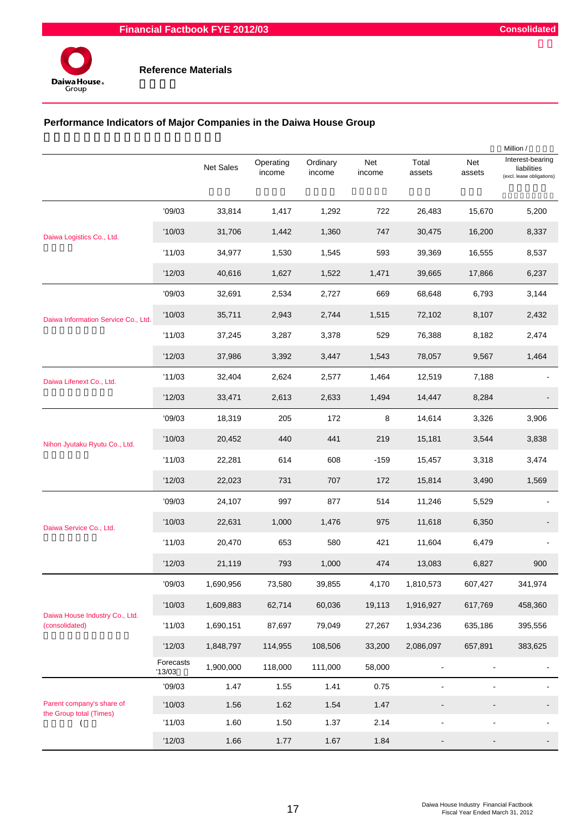

## **Performance Indicators of Major Companies in the Daiwa House Group**

|                                                      |                     |           |                     |                    |               |                 | Million /                |                                                              |
|------------------------------------------------------|---------------------|-----------|---------------------|--------------------|---------------|-----------------|--------------------------|--------------------------------------------------------------|
|                                                      |                     | Net Sales | Operating<br>income | Ordinary<br>income | Net<br>income | Total<br>assets | Net<br>assets            | Interest-bearing<br>liabilities<br>(excl. lease obligations) |
|                                                      | '09/03              | 33,814    | 1,417               | 1,292              | 722           | 26,483          | 15,670                   | 5,200                                                        |
| Daiwa Logistics Co., Ltd.                            | '10/03              | 31,706    | 1,442               | 1,360              | 747           | 30,475          | 16,200                   | 8,337                                                        |
|                                                      | '11/03              | 34,977    | 1,530               | 1,545              | 593           | 39,369          | 16,555                   | 8,537                                                        |
|                                                      | '12/03              | 40,616    | 1,627               | 1,522              | 1,471         | 39,665          | 17,866                   | 6,237                                                        |
|                                                      | '09/03              | 32,691    | 2,534               | 2,727              | 669           | 68,648          | 6,793                    | 3,144                                                        |
| Daiwa Information Service Co., Ltd.                  | '10/03              | 35,711    | 2,943               | 2,744              | 1,515         | 72,102          | 8,107                    | 2,432                                                        |
|                                                      | '11/03              | 37,245    | 3,287               | 3,378              | 529           | 76,388          | 8,182                    | 2,474                                                        |
|                                                      | '12/03              | 37,986    | 3,392               | 3,447              | 1,543         | 78,057          | 9,567                    | 1,464                                                        |
| Daiwa Lifenext Co., Ltd.                             | '11/03              | 32,404    | 2,624               | 2,577              | 1,464         | 12,519          | 7,188                    |                                                              |
|                                                      | '12/03              | 33,471    | 2,613               | 2,633              | 1,494         | 14,447          | 8,284                    |                                                              |
|                                                      | '09/03              | 18,319    | 205                 | 172                | 8             | 14,614          | 3,326                    | 3,906                                                        |
| Nihon Jyutaku Ryutu Co., Ltd.                        | '10/03              | 20,452    | 440                 | 441                | 219           | 15,181          | 3,544                    | 3,838                                                        |
|                                                      | '11/03              | 22,281    | 614                 | 608                | $-159$        | 15,457          | 3,318                    | 3,474                                                        |
|                                                      | '12/03              | 22,023    | 731                 | 707                | 172           | 15,814          | 3,490                    | 1,569                                                        |
|                                                      | '09/03              | 24,107    | 997                 | 877                | 514           | 11,246          | 5,529                    |                                                              |
| Daiwa Service Co., Ltd.                              | '10/03              | 22,631    | 1,000               | 1,476              | 975           | 11,618          | 6,350                    |                                                              |
|                                                      | '11/03              | 20,470    | 653                 | 580                | 421           | 11,604          | 6,479                    |                                                              |
|                                                      | '12/03              | 21,119    | 793                 | 1,000              | 474           | 13,083          | 6,827                    | 900                                                          |
|                                                      | '09/03              | 1,690,956 | 73,580              | 39,855             | 4,170         | 1,810,573       | 607,427                  | 341,974                                                      |
|                                                      | '10/03              | 1,609,883 | 62,714              | 60,036             | 19,113        | 1,916,927       | 617,769                  | 458,360                                                      |
| Daiwa House Industry Co., Ltd.<br>(consolidated)     | '11/03              | 1,690,151 | 87,697              | 79,049             | 27,267        | 1,934,236       | 635,186                  | 395,556                                                      |
|                                                      | '12/03              | 1,848,797 | 114,955             | 108,506            | 33,200        | 2,086,097       | 657,891                  | 383,625                                                      |
|                                                      | Forecasts<br>'13/03 | 1,900,000 | 118,000             | 111,000            | 58,000        | $\blacksquare$  | $\blacksquare$           | $\blacksquare$                                               |
|                                                      | '09/03              | 1.47      | 1.55                | 1.41               | 0.75          |                 |                          |                                                              |
| Parent company's share of<br>the Group total (Times) | '10/03              | 1.56      | 1.62                | 1.54               | 1.47          | $\blacksquare$  | $\overline{\phantom{a}}$ |                                                              |
|                                                      | '11/03              | 1.60      | 1.50                | 1.37               | 2.14          | $\blacksquare$  | $\blacksquare$           |                                                              |
|                                                      | '12/03              | 1.66      | 1.77                | 1.67               | 1.84          |                 | $\overline{\phantom{a}}$ | -                                                            |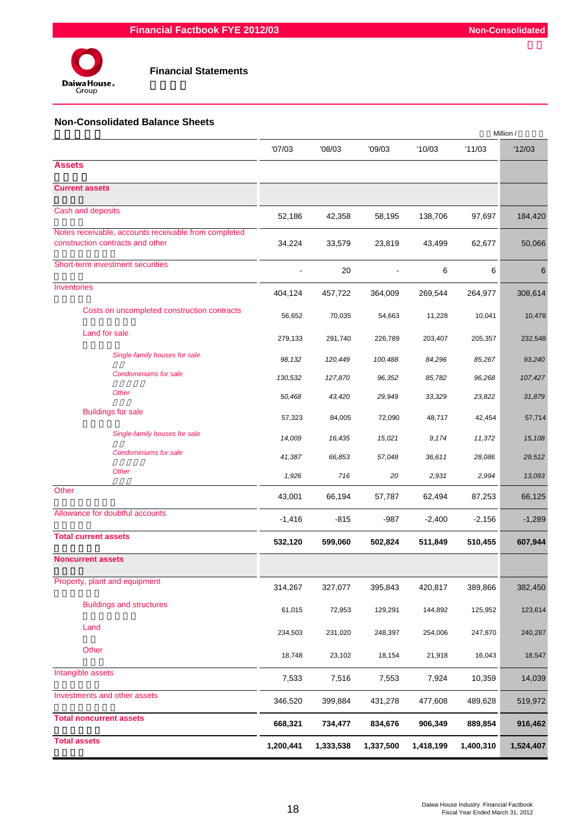

#### **Non-Consolidated Balance Sheets**

|                                                                                          |           |           |           |           |           | Million / |
|------------------------------------------------------------------------------------------|-----------|-----------|-----------|-----------|-----------|-----------|
| <b>Assets</b>                                                                            | '07/03    | '08/03    | '09/03    | '10/03    | '11/03    | '12/03    |
|                                                                                          |           |           |           |           |           |           |
| <b>Current assets</b>                                                                    |           |           |           |           |           |           |
| Cash and deposits                                                                        | 52,186    | 42,358    | 58,195    | 138,706   | 97,697    | 184,420   |
| Notes receivable, accounts receivable from completed<br>construction contracts and other | 34,224    | 33,579    | 23,819    | 43,499    | 62,677    | 50,066    |
| Short-term investment securities                                                         |           | 20        |           | 6         | 6         | 6         |
| Inventories                                                                              | 404,124   | 457,722   | 364,009   | 269,544   | 264,977   | 308,614   |
| Costs on uncompleted construction contracts                                              | 56,652    | 70,035    | 54,663    | 11,228    | 10,041    | 10,478    |
| Land for sale                                                                            | 279,133   | 291,740   | 226,789   | 203,407   | 205,357   | 232,548   |
| Single-family houses for sale                                                            | 98,132    | 120,449   | 100,488   | 84,296    | 85,267    | 93,240    |
| <b>Condominiums for sale</b>                                                             | 130,532   | 127,870   | 96,352    | 85,782    | 96,268    | 107,427   |
| <b>Other</b>                                                                             | 50,468    | 43,420    | 29,949    | 33,329    | 23,822    | 31,879    |
| <b>Buildings for sale</b>                                                                | 57,323    | 84,005    | 72,090    | 48,717    | 42,454    | 57,714    |
| Single-family houses for sale                                                            | 14,009    | 16,435    | 15,021    | 9,174     | 11,372    | 15,108    |
| <b>Condominiums for sale</b>                                                             | 41,387    | 66,853    | 57,048    | 36,611    | 28,086    | 29,512    |
| <b>Other</b>                                                                             | 1,926     | 716       | 20        | 2,931     | 2,994     | 13,093    |
| Other                                                                                    | 43,001    | 66,194    | 57,787    | 62,494    | 87,253    | 66,125    |
| Allowance for doubtful accounts                                                          | $-1,416$  | $-815$    | $-987$    | $-2,400$  | $-2,156$  | $-1,289$  |
| <b>Total current assets</b>                                                              | 532,120   | 599,060   | 502,824   | 511,849   | 510,455   | 607,944   |
| <b>Noncurrent assets</b>                                                                 |           |           |           |           |           |           |
| Property, plant and equipment                                                            | 314,267   | 327,077   | 395,843   | 420,817   | 389,866   | 382,450   |
| <b>Buildings and structures</b>                                                          | 61,015    | 72,953    | 129,291   | 144,892   | 125,952   | 123,614   |
| Land                                                                                     | 234,503   | 231,020   | 248,397   | 254,006   | 247,870   | 240,287   |
| Other                                                                                    | 18,748    | 23,102    | 18,154    | 21,918    | 16,043    | 18,547    |
| Intangible assets                                                                        | 7,533     | 7,516     | 7,553     | 7,924     | 10,359    | 14,039    |
| Investments and other assets                                                             | 346,520   | 399,884   | 431,278   | 477,608   | 489,628   | 519,972   |
| <b>Total noncurrent assets</b>                                                           | 668,321   | 734,477   | 834,676   | 906,349   | 889,854   | 916,462   |
| <b>Total assets</b>                                                                      | 1,200,441 | 1,333,538 | 1,337,500 | 1,418,199 | 1,400,310 | 1,524,407 |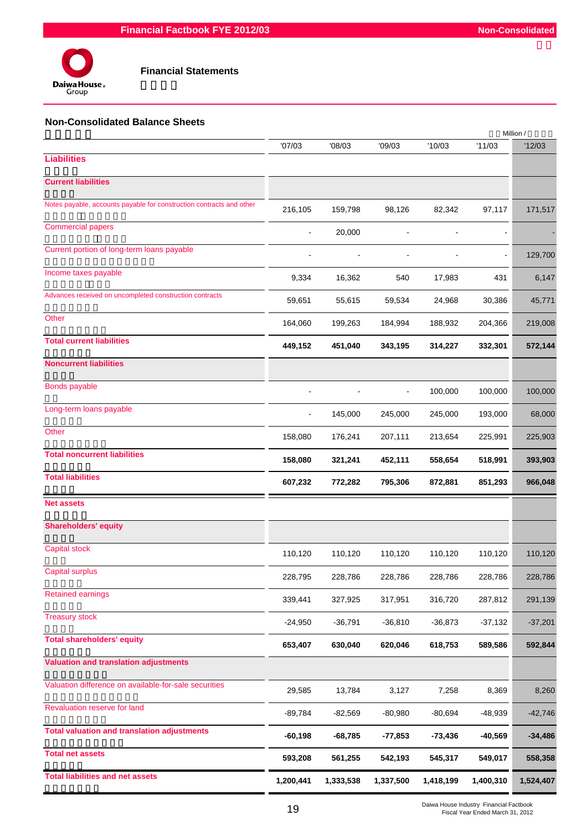

## **Financial Statements**

## **Non-Consolidated Balance Sheets**

|                                                                      |           |           |                |           |           | Million / |
|----------------------------------------------------------------------|-----------|-----------|----------------|-----------|-----------|-----------|
|                                                                      | '07/03    | '08/03    | '09/03         | '10/03    | '11/03    | '12/03    |
| <b>Liabilities</b>                                                   |           |           |                |           |           |           |
| <b>Current liabilities</b>                                           |           |           |                |           |           |           |
| Notes payable, accounts payable for construction contracts and other | 216,105   | 159,798   | 98,126         | 82,342    | 97,117    | 171,517   |
| <b>Commercial papers</b>                                             |           | 20,000    |                |           |           |           |
| Current portion of long-term loans payable                           |           |           |                |           |           | 129,700   |
| Income taxes payable                                                 | 9,334     | 16,362    | 540            | 17,983    | 431       | 6,147     |
| Advances received on uncompleted construction contracts              | 59,651    | 55,615    | 59,534         | 24,968    | 30,386    | 45,771    |
| Other                                                                | 164,060   | 199,263   | 184,994        | 188,932   | 204,366   | 219,008   |
| <b>Total current liabilities</b>                                     | 449,152   | 451,040   | 343,195        | 314,227   | 332,301   | 572,144   |
| <b>Noncurrent liabilities</b>                                        |           |           |                |           |           |           |
| <b>Bonds payable</b>                                                 |           |           | $\blacksquare$ | 100,000   | 100,000   | 100,000   |
| Long-term loans payable                                              |           | 145,000   | 245,000        | 245,000   | 193,000   | 68,000    |
| Other                                                                | 158,080   | 176,241   | 207,111        | 213,654   | 225,991   | 225,903   |
| <b>Total noncurrent liabilities</b>                                  | 158,080   | 321,241   | 452,111        | 558,654   | 518,991   | 393,903   |
| <b>Total liabilities</b>                                             | 607,232   | 772,282   | 795,306        | 872,881   | 851,293   | 966,048   |
| <b>Net assets</b>                                                    |           |           |                |           |           |           |
| <b>Shareholders' equity</b>                                          |           |           |                |           |           |           |
| <b>Capital stock</b>                                                 | 110,120   | 110,120   | 110,120        | 110,120   | 110,120   | 110,120   |
| Capital surplus                                                      | 228,795   | 228,786   | 228,786        | 228,786   | 228,786   | 228,786   |
| <b>Retained earnings</b>                                             | 339,441   | 327,925   | 317,951        | 316,720   | 287,812   | 291,139   |
| <b>Treasury stock</b>                                                | $-24,950$ | $-36,791$ | $-36,810$      | $-36,873$ | $-37,132$ | $-37,201$ |
| <b>Total shareholders' equity</b>                                    | 653,407   | 630,040   | 620,046        | 618,753   | 589,586   | 592,844   |
| <b>Valuation and translation adjustments</b>                         |           |           |                |           |           |           |
| Valuation difference on available-for-sale securities                | 29,585    | 13,784    | 3,127          | 7,258     | 8,369     | 8,260     |
| Revaluation reserve for land                                         | -89,784   | $-82,569$ | $-80,980$      | $-80,694$ | $-48,939$ | $-42,746$ |
| <b>Total valuation and translation adjustments</b>                   | $-60,198$ | $-68,785$ | -77,853        | $-73,436$ | $-40,569$ | $-34,486$ |
| <b>Total net assets</b>                                              | 593,208   | 561,255   | 542,193        | 545,317   | 549,017   | 558,358   |
| <b>Total liabilities and net assets</b>                              | 1,200,441 | 1,333,538 | 1,337,500      | 1,418,199 | 1,400,310 | 1,524,407 |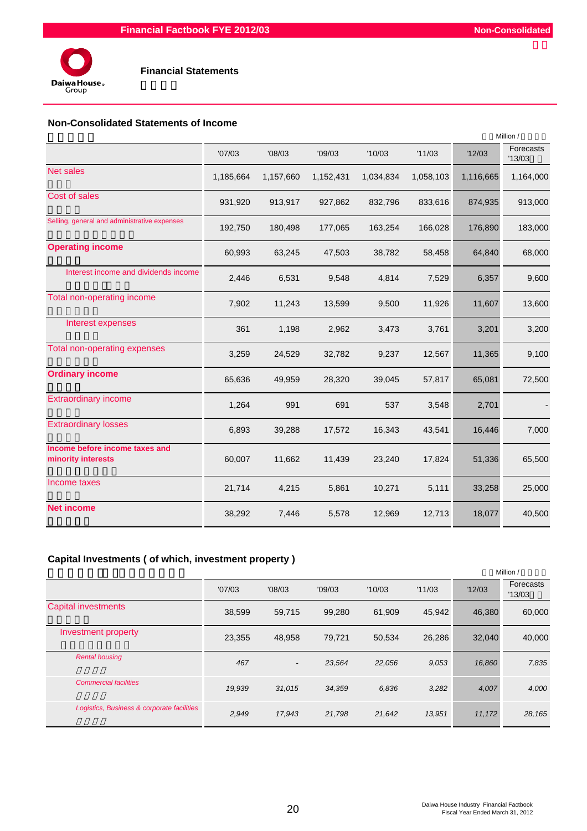

#### **Non-Consolidated Statements of Income**

|                                                      | Million / |           |           |           |           |           |                     |
|------------------------------------------------------|-----------|-----------|-----------|-----------|-----------|-----------|---------------------|
|                                                      | '07/03    | '08/03    | '09/03    | '10/03    | '11/03    | '12/03    | Forecasts<br>'13/03 |
| Net sales                                            | 1,185,664 | 1,157,660 | 1,152,431 | 1,034,834 | 1,058,103 | 1,116,665 | 1,164,000           |
| Cost of sales                                        | 931,920   | 913,917   | 927,862   | 832,796   | 833,616   | 874,935   | 913,000             |
| Selling, general and administrative expenses         | 192,750   | 180,498   | 177,065   | 163,254   | 166,028   | 176,890   | 183,000             |
| <b>Operating income</b>                              | 60,993    | 63,245    | 47,503    | 38,782    | 58,458    | 64,840    | 68,000              |
| Interest income and dividends income                 | 2,446     | 6,531     | 9,548     | 4,814     | 7,529     | 6,357     | 9,600               |
| Total non-operating income                           | 7,902     | 11,243    | 13,599    | 9,500     | 11,926    | 11,607    | 13,600              |
| Interest expenses                                    | 361       | 1,198     | 2,962     | 3,473     | 3,761     | 3,201     | 3,200               |
| Total non-operating expenses                         | 3,259     | 24,529    | 32,782    | 9,237     | 12,567    | 11,365    | 9,100               |
| <b>Ordinary income</b>                               | 65,636    | 49,959    | 28,320    | 39,045    | 57,817    | 65,081    | 72,500              |
| <b>Extraordinary income</b>                          | 1,264     | 991       | 691       | 537       | 3,548     | 2,701     |                     |
| <b>Extraordinary losses</b>                          | 6,893     | 39,288    | 17,572    | 16,343    | 43,541    | 16,446    | 7,000               |
| Income before income taxes and<br>minority interests | 60,007    | 11,662    | 11,439    | 23,240    | 17,824    | 51,336    | 65,500              |
| Income taxes                                         | 21,714    | 4,215     | 5,861     | 10,271    | 5,111     | 33,258    | 25,000              |
| <b>Net income</b>                                    | 38,292    | 7,446     | 5,578     | 12,969    | 12,713    | 18,077    | 40,500              |

## **Capital Investments ( of which, investment property )**

|                                            |        |                          |        |        |        |        | Million /           |
|--------------------------------------------|--------|--------------------------|--------|--------|--------|--------|---------------------|
|                                            | '07/03 | '08/03                   | '09/03 | '10/03 | '11/03 | '12/03 | Forecasts<br>'13/03 |
| <b>Capital investments</b>                 | 38,599 | 59,715                   | 99,280 | 61.909 | 45.942 | 46.380 | 60,000              |
| Investment property                        | 23,355 | 48,958                   | 79,721 | 50,534 | 26,286 | 32,040 | 40,000              |
| <b>Rental housing</b>                      | 467    | $\overline{\phantom{a}}$ | 23,564 | 22,056 | 9,053  | 16,860 | 7,835               |
| <b>Commercial facilities</b>               | 19,939 | 31,015                   | 34,359 | 6,836  | 3,282  | 4,007  | 4,000               |
| Logistics, Business & corporate facilities | 2,949  | 17,943                   | 21,798 | 21,642 | 13,951 | 11,172 | 28,165              |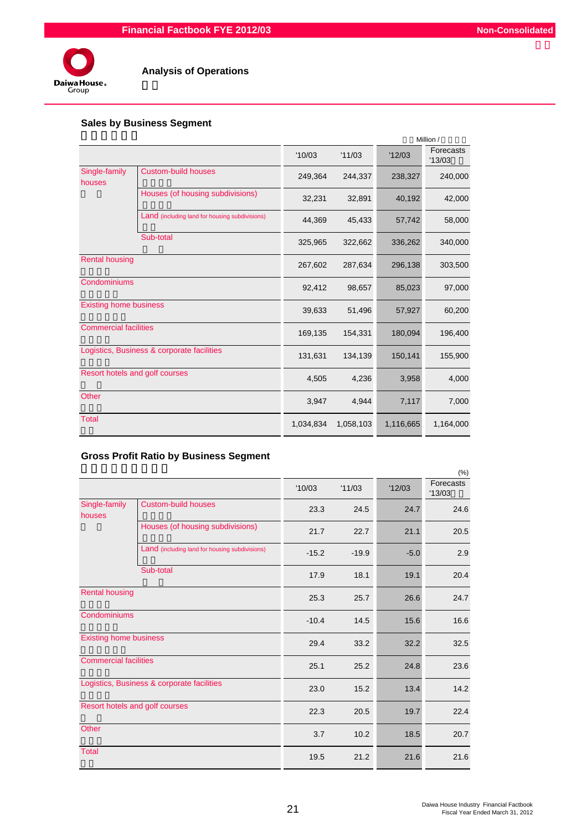

## **Analysis of Operations**

## **Sales by Business Segment**

|                                |                                                |           |           |           | Million /           |
|--------------------------------|------------------------------------------------|-----------|-----------|-----------|---------------------|
|                                |                                                | '10/03    | '11/03    | '12/03    | Forecasts<br>'13/03 |
| Single-family<br>houses        | <b>Custom-build houses</b>                     | 249,364   | 244,337   | 238,327   | 240,000             |
|                                | Houses (of housing subdivisions)               | 32,231    | 32,891    | 40,192    | 42,000              |
|                                | Land (including land for housing subdivisions) | 44,369    | 45,433    | 57,742    | 58,000              |
|                                | Sub-total                                      | 325,965   | 322,662   | 336,262   | 340,000             |
| <b>Rental housing</b>          |                                                | 267,602   | 287,634   | 296,138   | 303,500             |
| Condominiums                   |                                                | 92,412    | 98,657    | 85,023    | 97,000              |
| <b>Existing home business</b>  |                                                | 39,633    | 51,496    | 57,927    | 60,200              |
| <b>Commercial facilities</b>   |                                                | 169,135   | 154,331   | 180,094   | 196,400             |
|                                | Logistics, Business & corporate facilities     | 131,631   | 134,139   | 150,141   | 155,900             |
| Resort hotels and golf courses |                                                | 4,505     | 4,236     | 3,958     | 4,000               |
| Other                          |                                                | 3,947     | 4,944     | 7,117     | 7,000               |
| <b>Total</b>                   |                                                | 1,034,834 | 1,058,103 | 1,116,665 | 1,164,000           |

## **Gross Profit Ratio by Business Segment**

|                               |                                                |         |         |        | (% )                |
|-------------------------------|------------------------------------------------|---------|---------|--------|---------------------|
|                               |                                                | '10/03  | '11/03  | '12/03 | Forecasts<br>'13/03 |
| Single-family<br>houses       | <b>Custom-build houses</b>                     | 23.3    | 24.5    | 24.7   | 24.6                |
|                               | Houses (of housing subdivisions)               | 21.7    | 22.7    | 21.1   | 20.5                |
|                               | Land (including land for housing subdivisions) | $-15.2$ | $-19.9$ | $-5.0$ | 2.9                 |
|                               | Sub-total                                      | 17.9    | 18.1    | 19.1   | 20.4                |
| <b>Rental housing</b>         |                                                | 25.3    | 25.7    | 26.6   | 24.7                |
| Condominiums                  |                                                | $-10.4$ | 14.5    | 15.6   | 16.6                |
| <b>Existing home business</b> |                                                | 29.4    | 33.2    | 32.2   | 32.5                |
| <b>Commercial facilities</b>  |                                                | 25.1    | 25.2    | 24.8   | 23.6                |
|                               | Logistics, Business & corporate facilities     | 23.0    | 15.2    | 13.4   | 14.2                |
|                               | Resort hotels and golf courses                 | 22.3    | 20.5    | 19.7   | 22.4                |
| Other                         |                                                | 3.7     | 10.2    | 18.5   | 20.7                |
| <b>Total</b>                  |                                                | 19.5    | 21.2    | 21.6   | 21.6                |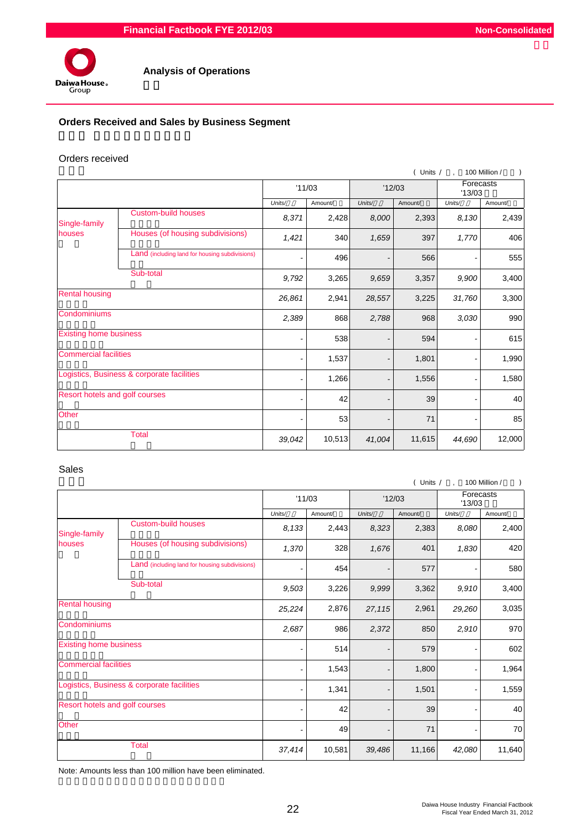

## **Orders Received and Sales by Business Segment**

#### Orders received

|                                            |                                                |        |         |                              | (Units / | $\overline{a}$      | 100 Million / |
|--------------------------------------------|------------------------------------------------|--------|---------|------------------------------|----------|---------------------|---------------|
|                                            |                                                |        | '11/03  | '12/03                       |          | Forecasts<br>'13/03 |               |
|                                            |                                                | Units/ | Amount/ | Units/                       | Amount/  | Units/              | Amount/       |
| Single-family                              | <b>Custom-build houses</b>                     | 8,371  | 2,428   | 8,000                        | 2,393    | 8,130               | 2,439         |
| houses                                     | Houses (of housing subdivisions)               | 1,421  | 340     | 1,659                        | 397      | 1,770               | 406           |
|                                            | Land (including land for housing subdivisions) | ۰      | 496     | $\overline{\phantom{m}}$     | 566      |                     | 555           |
|                                            | Sub-total                                      | 9,792  | 3,265   | 9,659                        | 3,357    | 9,900               | 3,400         |
| <b>Rental housing</b>                      |                                                | 26,861 | 2,941   | 28,557                       | 3,225    | 31,760              | 3,300         |
| Condominiums                               |                                                | 2,389  | 868     | 2,788                        | 968      | 3,030               | 990           |
| <b>Existing home business</b>              |                                                |        | 538     |                              | 594      |                     | 615           |
| <b>Commercial facilities</b>               |                                                |        | 1,537   |                              | 1,801    |                     | 1,990         |
| Logistics, Business & corporate facilities |                                                |        | 1,266   | $\qquad \qquad \blacksquare$ | 1,556    |                     | 1,580         |
| Resort hotels and golf courses             |                                                |        | 42      |                              | 39       |                     | 40            |
| Other                                      |                                                |        | 53      |                              | 71       |                     | 85            |
| <b>Total</b>                               |                                                | 39,042 | 10,513  | 41,004                       | 11,615   | 44,690              | 12,000        |

#### Sales

|                                |                                                |        |         |        | $($ Units $/$ , |        | 100 Million /<br>$\lambda$ |
|--------------------------------|------------------------------------------------|--------|---------|--------|-----------------|--------|----------------------------|
|                                |                                                | '11/03 |         | '12/03 |                 | '13/03 | Forecasts                  |
|                                |                                                | Units/ | Amount/ | Units/ | Amount/         | Units/ | Amount/                    |
| Single-family                  | <b>Custom-build houses</b>                     | 8,133  | 2,443   | 8,323  | 2,383           | 8,080  | 2,400                      |
| houses                         | Houses (of housing subdivisions)               | 1,370  | 328     | 1,676  | 401             | 1,830  | 420                        |
|                                | Land (including land for housing subdivisions) |        | 454     |        | 577             |        | 580                        |
|                                | Sub-total                                      | 9,503  | 3,226   | 9,999  | 3,362           | 9,910  | 3,400                      |
| <b>Rental housing</b>          |                                                | 25,224 | 2,876   | 27,115 | 2,961           | 29,260 | 3,035                      |
| Condominiums                   |                                                | 2,687  | 986     | 2,372  | 850             | 2,910  | 970                        |
| <b>Existing home business</b>  |                                                |        | 514     |        | 579             |        | 602                        |
| <b>Commercial facilities</b>   |                                                |        | 1,543   |        | 1,800           |        | 1,964                      |
|                                | Logistics, Business & corporate facilities     |        | 1,341   |        | 1,501           |        | 1,559                      |
| Resort hotels and golf courses |                                                |        | 42      |        | 39              |        | 40                         |
| Other                          |                                                |        | 49      |        | 71              |        | 70                         |
| <b>Total</b>                   |                                                | 37,414 | 10,581  | 39,486 | 11,166          | 42,080 | 11,640                     |

Note: Amounts less than 100 million have been eliminated.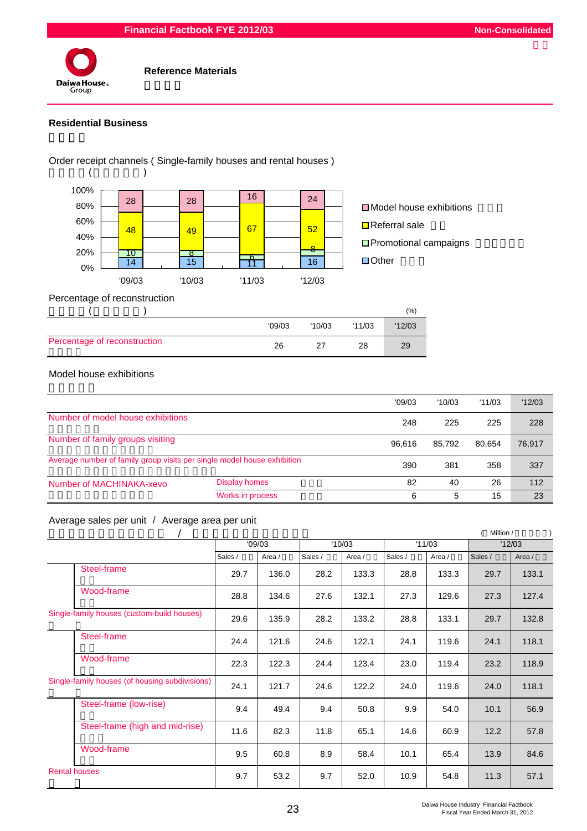#### **Financial Factbook FYE 2012/03 Non-Consolidated**



#### **Reference Materials**

#### **Residential Business**



|                              |        |        |        | $(\%)$ |
|------------------------------|--------|--------|--------|--------|
|                              | '09/03 | '10/03 | '11/03 | '12/03 |
| Percentage of reconstruction | 26     |        | 28     | 29     |

## Model house exhibitions

|                                                                         |                  | '09/03 | '10/03 | '11/03 | '12/03 |
|-------------------------------------------------------------------------|------------------|--------|--------|--------|--------|
| Number of model house exhibitions                                       |                  | 248    | 225    | 225    | 228    |
| Number of family groups visiting                                        |                  | 96.616 | 85.792 | 80.654 | 76,917 |
| Average number of family group visits per single model house exhibition | 390              | 381    | 358    | 337    |        |
| Number of MACHINAKA-xevo                                                | Display homes    | 82     | 40     | 26     | 112    |
|                                                                         | Works in process | 6      | 5      | 15     | 23     |

#### Average sales per unit / Average area per unit

|                                            |                                                |         |        |         |        |         |        | Million / |        |
|--------------------------------------------|------------------------------------------------|---------|--------|---------|--------|---------|--------|-----------|--------|
|                                            |                                                |         | '09/03 | '10/03  |        | '11/03  |        | '12/03    |        |
|                                            |                                                | Sales / | Area / | Sales / | Area / | Sales / | Area / | Sales /   | Area / |
|                                            | Steel-frame                                    | 29.7    | 136.0  | 28.2    | 133.3  | 28.8    | 133.3  | 29.7      | 133.1  |
|                                            | Wood-frame                                     | 28.8    | 134.6  | 27.6    | 132.1  | 27.3    | 129.6  | 27.3      | 127.4  |
| Single-family houses (custom-build houses) |                                                | 29.6    | 135.9  | 28.2    | 133.2  | 28.8    | 133.1  | 29.7      | 132.8  |
|                                            | Steel-frame                                    | 24.4    | 121.6  | 24.6    | 122.1  | 24.1    | 119.6  | 24.1      | 118.1  |
|                                            | Wood-frame                                     | 22.3    | 122.3  | 24.4    | 123.4  | 23.0    | 119.4  | 23.2      | 118.9  |
|                                            | Single-family houses (of housing subdivisions) | 24.1    | 121.7  | 24.6    | 122.2  | 24.0    | 119.6  | 24.0      | 118.1  |
|                                            | Steel-frame (low-rise)                         | 9.4     | 49.4   | 9.4     | 50.8   | 9.9     | 54.0   | 10.1      | 56.9   |
|                                            | Steel-frame (high and mid-rise)                | 11.6    | 82.3   | 11.8    | 65.1   | 14.6    | 60.9   | 12.2      | 57.8   |
|                                            | Wood-frame                                     | 9.5     | 60.8   | 8.9     | 58.4   | 10.1    | 65.4   | 13.9      | 84.6   |
| <b>Rental houses</b>                       |                                                | 9.7     | 53.2   | 9.7     | 52.0   | 10.9    | 54.8   | 11.3      | 57.1   |